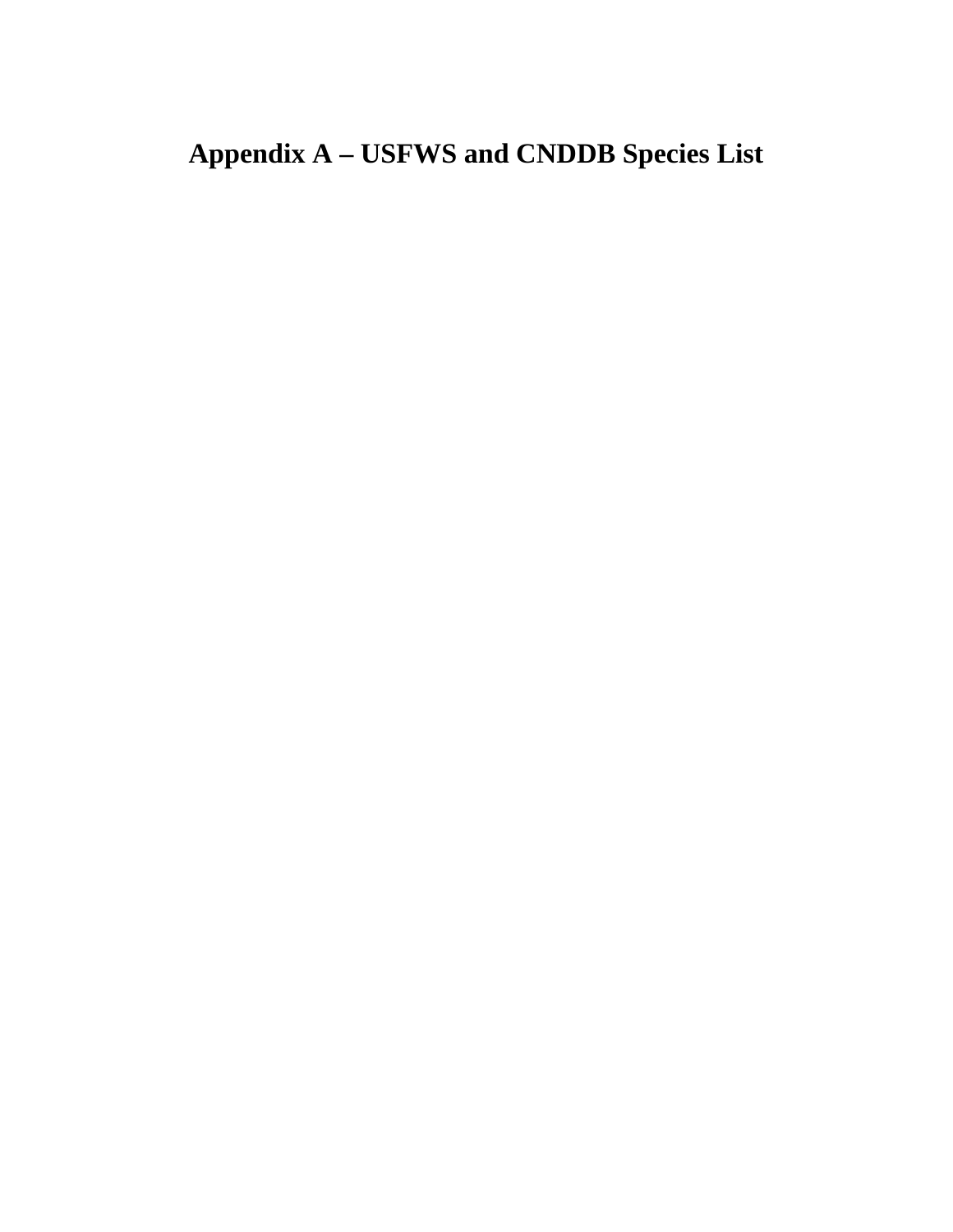# **Appendix A – USFWS and CNDDB Species List**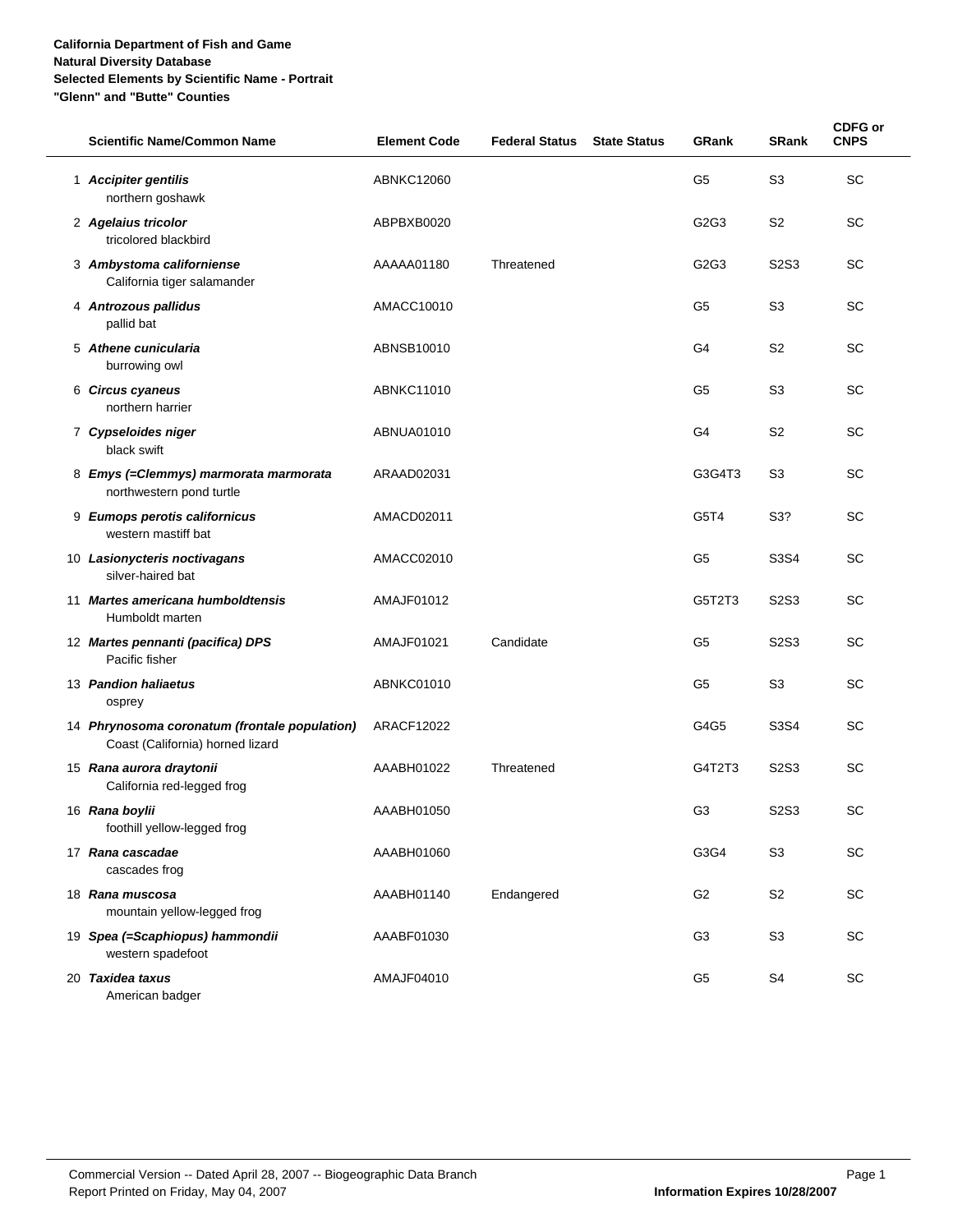| <b>Scientific Name/Common Name</b>                                                | <b>Element Code</b> | <b>Federal Status</b> | <b>State Status</b> | <b>GRank</b>   | <b>SRank</b>                  | <b>CDFG or</b><br><b>CNPS</b> |
|-----------------------------------------------------------------------------------|---------------------|-----------------------|---------------------|----------------|-------------------------------|-------------------------------|
| 1 Accipiter gentilis<br>northern goshawk                                          | <b>ABNKC12060</b>   |                       |                     | G <sub>5</sub> | S <sub>3</sub>                | <b>SC</b>                     |
| 2 Agelaius tricolor<br>tricolored blackbird                                       | ABPBXB0020          |                       |                     | G2G3           | S <sub>2</sub>                | <b>SC</b>                     |
| 3 Ambystoma californiense<br>California tiger salamander                          | AAAAA01180          | Threatened            |                     | G2G3           | S <sub>2</sub> S <sub>3</sub> | <b>SC</b>                     |
| 4 Antrozous pallidus<br>pallid bat                                                | AMACC10010          |                       |                     | G5             | S <sub>3</sub>                | <b>SC</b>                     |
| 5 Athene cunicularia<br>burrowing owl                                             | ABNSB10010          |                       |                     | G4             | S <sub>2</sub>                | <b>SC</b>                     |
| 6 Circus cyaneus<br>northern harrier                                              | ABNKC11010          |                       |                     | G5             | S <sub>3</sub>                | <b>SC</b>                     |
| 7 Cypseloides niger<br>black swift                                                | ABNUA01010          |                       |                     | G4             | S <sub>2</sub>                | <b>SC</b>                     |
| 8 Emys (=Clemmys) marmorata marmorata<br>northwestern pond turtle                 | ARAAD02031          |                       |                     | G3G4T3         | S3                            | <b>SC</b>                     |
| 9 Eumops perotis californicus<br>western mastiff bat                              | AMACD02011          |                       |                     | G5T4           | S3?                           | <b>SC</b>                     |
| 10 Lasionycteris noctivagans<br>silver-haired bat                                 | AMACC02010          |                       |                     | G <sub>5</sub> | S3S4                          | <b>SC</b>                     |
| 11 Martes americana humboldtensis<br>Humboldt marten                              | AMAJF01012          |                       |                     | G5T2T3         | S <sub>2</sub> S <sub>3</sub> | <b>SC</b>                     |
| 12 Martes pennanti (pacifica) DPS<br>Pacific fisher                               | AMAJF01021          | Candidate             |                     | G5             | S2S3                          | <b>SC</b>                     |
| 13 Pandion haliaetus<br>osprey                                                    | ABNKC01010          |                       |                     | G <sub>5</sub> | S <sub>3</sub>                | <b>SC</b>                     |
| 14 Phrynosoma coronatum (frontale population)<br>Coast (California) horned lizard | <b>ARACF12022</b>   |                       |                     | G4G5           | S3S4                          | <b>SC</b>                     |
| 15 Rana aurora draytonii<br>California red-legged frog                            | AAABH01022          | Threatened            |                     | G4T2T3         | S <sub>2</sub> S <sub>3</sub> | <b>SC</b>                     |
| 16 Rana boylii<br>foothill yellow-legged frog                                     | AAABH01050          |                       |                     | G <sub>3</sub> | S2S3                          | <b>SC</b>                     |
| 17 Rana cascadae<br>cascades frog                                                 | AAABH01060          |                       |                     | G3G4           | S <sub>3</sub>                | SC                            |
| 18 Rana muscosa<br>mountain yellow-legged frog                                    | AAABH01140          | Endangered            |                     | G <sub>2</sub> | S <sub>2</sub>                | SC                            |
| 19 Spea (=Scaphiopus) hammondii<br>western spadefoot                              | AAABF01030          |                       |                     | G <sub>3</sub> | S <sub>3</sub>                | SC                            |
| 20 Taxidea taxus<br>American badger                                               | AMAJF04010          |                       |                     | G5             | S4                            | $\operatorname{\textsf{SC}}$  |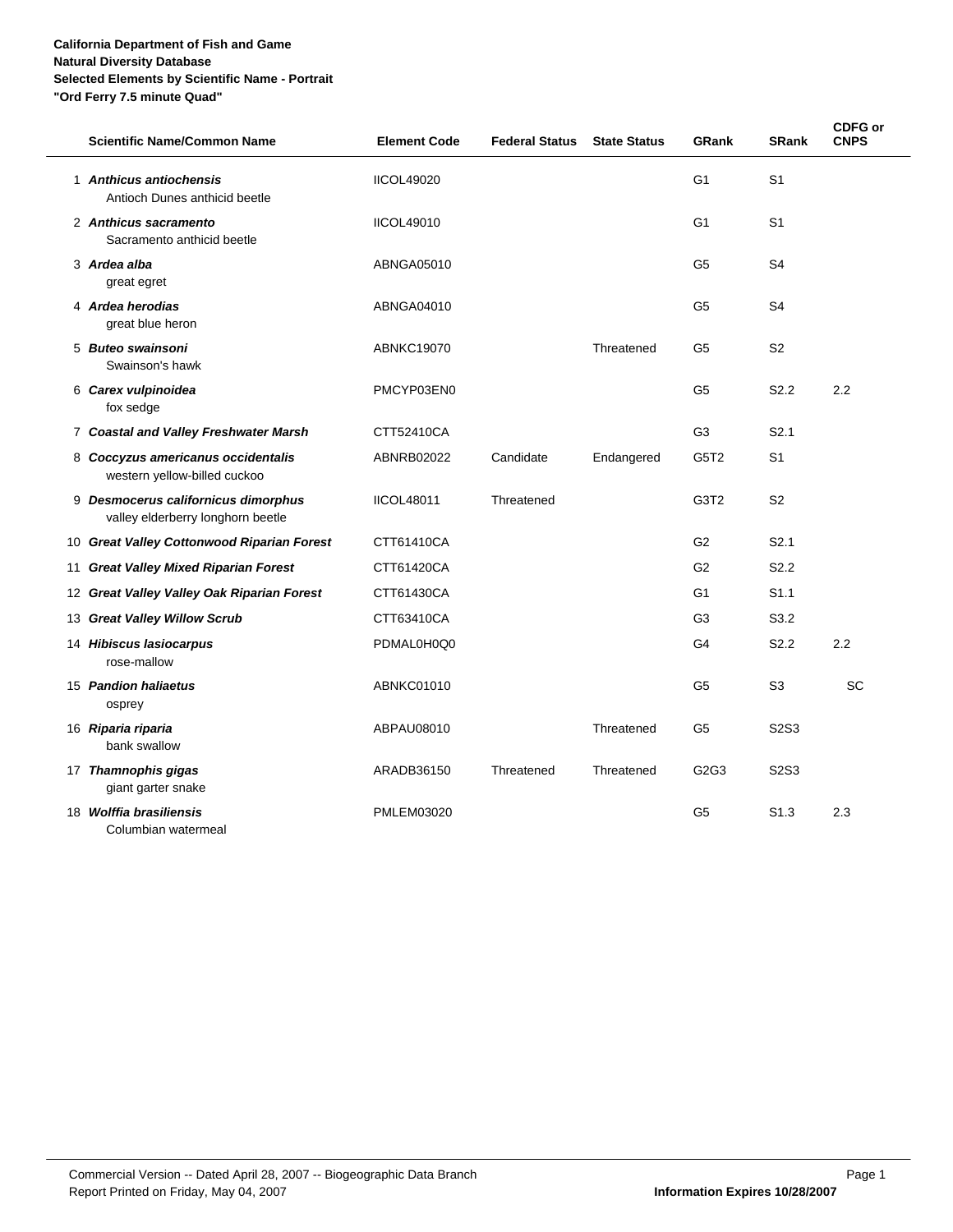| <b>Scientific Name/Common Name</b>                                       | <b>Element Code</b> | <b>Federal Status</b> | <b>State Status</b> | <b>GRank</b>     | <b>SRank</b>                  | <b>CDFG or</b><br><b>CNPS</b> |
|--------------------------------------------------------------------------|---------------------|-----------------------|---------------------|------------------|-------------------------------|-------------------------------|
| 1 Anthicus antiochensis<br>Antioch Dunes anthicid beetle                 | <b>IICOL49020</b>   |                       |                     | G <sub>1</sub>   | S <sub>1</sub>                |                               |
| 2 Anthicus sacramento<br>Sacramento anthicid beetle                      | <b>IICOL49010</b>   |                       |                     | G <sub>1</sub>   | S <sub>1</sub>                |                               |
| 3 Ardea alba<br>great egret                                              | ABNGA05010          |                       |                     | G <sub>5</sub>   | S <sub>4</sub>                |                               |
| 4 Ardea herodias<br>great blue heron                                     | ABNGA04010          |                       |                     | G5               | S <sub>4</sub>                |                               |
| 5 Buteo swainsoni<br>Swainson's hawk                                     | <b>ABNKC19070</b>   |                       | Threatened          | G <sub>5</sub>   | S <sub>2</sub>                |                               |
| 6 Carex vulpinoidea<br>fox sedge                                         | PMCYP03EN0          |                       |                     | G <sub>5</sub>   | S <sub>2.2</sub>              | 2.2                           |
| 7 Coastal and Valley Freshwater Marsh                                    | CTT52410CA          |                       |                     | G <sub>3</sub>   | S <sub>2.1</sub>              |                               |
| 8 Coccyzus americanus occidentalis<br>western yellow-billed cuckoo       | ABNRB02022          | Candidate             | Endangered          | G5T2             | S <sub>1</sub>                |                               |
| 9 Desmocerus californicus dimorphus<br>valley elderberry longhorn beetle | <b>IICOL48011</b>   | Threatened            |                     | G3T <sub>2</sub> | S <sub>2</sub>                |                               |
| 10 Great Valley Cottonwood Riparian Forest                               | CTT61410CA          |                       |                     | G <sub>2</sub>   | S2.1                          |                               |
| 11 Great Valley Mixed Riparian Forest                                    | CTT61420CA          |                       |                     | G <sub>2</sub>   | S <sub>2.2</sub>              |                               |
| 12 Great Valley Valley Oak Riparian Forest                               | CTT61430CA          |                       |                     | G1               | S <sub>1.1</sub>              |                               |
| 13 Great Valley Willow Scrub                                             | CTT63410CA          |                       |                     | G <sub>3</sub>   | S3.2                          |                               |
| 14 Hibiscus lasiocarpus<br>rose-mallow                                   | PDMAL0H0Q0          |                       |                     | G4               | S <sub>2.2</sub>              | 2.2                           |
| 15 Pandion haliaetus<br>osprey                                           | ABNKC01010          |                       |                     | G <sub>5</sub>   | S <sub>3</sub>                | <b>SC</b>                     |
| 16 Riparia riparia<br>bank swallow                                       | ABPAU08010          |                       | Threatened          | G5               | S <sub>2</sub> S <sub>3</sub> |                               |
| 17 Thamnophis gigas<br>giant garter snake                                | ARADB36150          | Threatened            | Threatened          | G2G3             | S2S3                          |                               |
| 18 Wolffia brasiliensis<br>Columbian watermeal                           | <b>PMLEM03020</b>   |                       |                     | G <sub>5</sub>   | S <sub>1.3</sub>              | 2.3                           |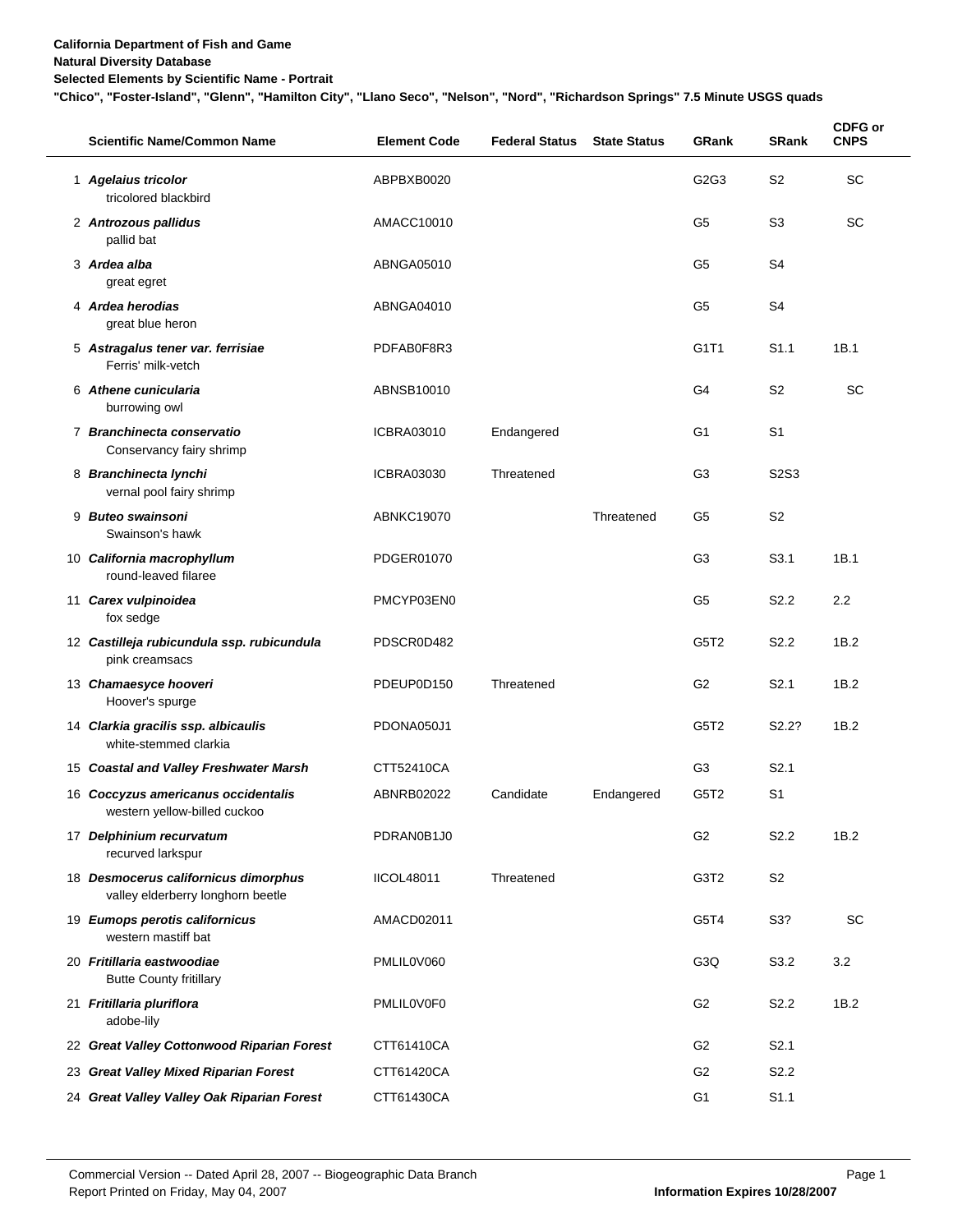#### **Natural Diversity Database**

**Selected Elements by Scientific Name - Portrait**

**"Chico", "Foster-Island", "Glenn", "Hamilton City", "Llano Seco", "Nelson", "Nord", "Richardson Springs" 7.5 Minute USGS quads**

|    | <b>Scientific Name/Common Name</b>                                        | <b>Element Code</b> | <b>Federal Status</b> | <b>State Status</b> | <b>GRank</b>     | <b>SRank</b>                  | <b>CDFG or</b><br><b>CNPS</b> |
|----|---------------------------------------------------------------------------|---------------------|-----------------------|---------------------|------------------|-------------------------------|-------------------------------|
|    | 1 Agelaius tricolor<br>tricolored blackbird                               | ABPBXB0020          |                       |                     | G2G3             | S <sub>2</sub>                | <b>SC</b>                     |
|    | 2 Antrozous pallidus<br>pallid bat                                        | AMACC10010          |                       |                     | G5               | S <sub>3</sub>                | SC                            |
|    | 3 Ardea alba<br>great egret                                               | ABNGA05010          |                       |                     | G5               | S4                            |                               |
|    | 4 Ardea herodias<br>great blue heron                                      | ABNGA04010          |                       |                     | G5               | S4                            |                               |
|    | 5 Astragalus tener var. ferrisiae<br>Ferris' milk-vetch                   | PDFAB0F8R3          |                       |                     | G1T1             | S <sub>1.1</sub>              | 1B.1                          |
|    | 6 Athene cunicularia<br>burrowing owl                                     | ABNSB10010          |                       |                     | G4               | S <sub>2</sub>                | SC                            |
|    | 7 Branchinecta conservatio<br>Conservancy fairy shrimp                    | <b>ICBRA03010</b>   | Endangered            |                     | G1               | S <sub>1</sub>                |                               |
|    | 8 Branchinecta lynchi<br>vernal pool fairy shrimp                         | <b>ICBRA03030</b>   | Threatened            |                     | G3               | S <sub>2</sub> S <sub>3</sub> |                               |
|    | 9 Buteo swainsoni<br>Swainson's hawk                                      | ABNKC19070          |                       | Threatened          | G5               | S <sub>2</sub>                |                               |
|    | 10 California macrophyllum<br>round-leaved filaree                        | PDGER01070          |                       |                     | G3               | S <sub>3.1</sub>              | 1B.1                          |
|    | 11 Carex vulpinoidea<br>fox sedge                                         | PMCYP03EN0          |                       |                     | G5               | S <sub>2.2</sub>              | $2.2^{\circ}$                 |
|    | 12 Castilleja rubicundula ssp. rubicundula<br>pink creamsacs              | PDSCR0D482          |                       |                     | G5T <sub>2</sub> | S <sub>2.2</sub>              | 1B.2                          |
|    | 13 Chamaesyce hooveri<br>Hoover's spurge                                  | PDEUP0D150          | Threatened            |                     | G <sub>2</sub>   | S <sub>2.1</sub>              | 1B.2                          |
|    | 14 Clarkia gracilis ssp. albicaulis<br>white-stemmed clarkia              | PDONA050J1          |                       |                     | G5T <sub>2</sub> | S <sub>2.2</sub> ?            | 1B.2                          |
|    | 15 Coastal and Valley Freshwater Marsh                                    | CTT52410CA          |                       |                     | G3               | S <sub>2.1</sub>              |                               |
|    | 16 Coccyzus americanus occidentalis<br>western yellow-billed cuckoo       | ABNRB02022          | Candidate             | Endangered          | G5T <sub>2</sub> | S1                            |                               |
|    | 17 Delphinium recurvatum<br>recurved larkspur                             | PDRAN0B1J0          |                       |                     | G <sub>2</sub>   | S <sub>2.2</sub>              | 1B.2                          |
|    | 18 Desmocerus californicus dimorphus<br>valley elderberry longhorn beetle | <b>IICOL48011</b>   | Threatened            |                     | G3T2             | S <sub>2</sub>                |                               |
|    | 19 Eumops perotis californicus<br>western mastiff bat                     | AMACD02011          |                       |                     | G5T4             | S3?                           | <b>SC</b>                     |
|    | 20 Fritillaria eastwoodiae<br><b>Butte County fritillary</b>              | PMLIL0V060          |                       |                     | G <sub>3</sub> Q | S3.2                          | 3.2                           |
|    | 21 Fritillaria pluriflora<br>adobe-lily                                   | PMLIL0V0F0          |                       |                     | G <sub>2</sub>   | S <sub>2.2</sub>              | 1B.2                          |
|    | 22 Great Valley Cottonwood Riparian Forest                                | CTT61410CA          |                       |                     | G <sub>2</sub>   | S <sub>2.1</sub>              |                               |
| 23 | <b>Great Valley Mixed Riparian Forest</b>                                 | CTT61420CA          |                       |                     | G2               | S <sub>2.2</sub>              |                               |
|    | 24 Great Valley Valley Oak Riparian Forest                                | CTT61430CA          |                       |                     | G <sub>1</sub>   | S1.1                          |                               |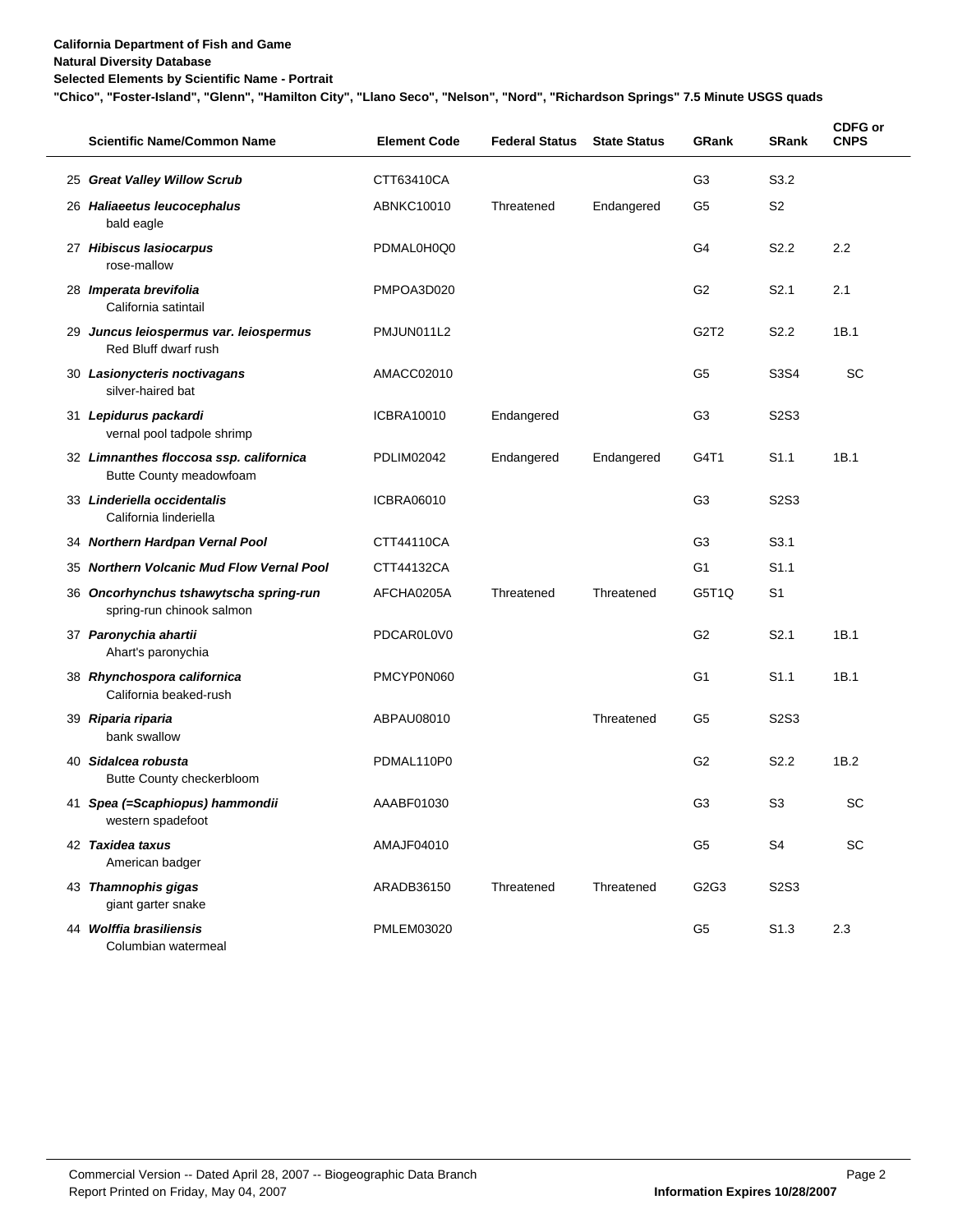#### **Natural Diversity Database**

**Selected Elements by Scientific Name - Portrait**

**"Chico", "Foster-Island", "Glenn", "Hamilton City", "Llano Seco", "Nelson", "Nord", "Richardson Springs" 7.5 Minute USGS quads**

| <b>Scientific Name/Common Name</b>                                  | <b>Element Code</b> | <b>Federal Status</b> | <b>State Status</b> | <b>GRank</b>                  | <b>SRank</b>                  | CDFG or<br><b>CNPS</b> |
|---------------------------------------------------------------------|---------------------|-----------------------|---------------------|-------------------------------|-------------------------------|------------------------|
| 25 Great Valley Willow Scrub                                        | CTT63410CA          |                       |                     | G <sub>3</sub>                | S3.2                          |                        |
| 26 Haliaeetus leucocephalus<br>bald eagle                           | ABNKC10010          | Threatened            | Endangered          | G5                            | S <sub>2</sub>                |                        |
| 27 Hibiscus lasiocarpus<br>rose-mallow                              | PDMAL0H0Q0          |                       |                     | G4                            | S <sub>2.2</sub>              | 2.2                    |
| 28 Imperata brevifolia<br>California satintail                      | PMPOA3D020          |                       |                     | G <sub>2</sub>                | S <sub>2.1</sub>              | 2.1                    |
| 29 Juncus leiospermus var. leiospermus<br>Red Bluff dwarf rush      | PMJUN011L2          |                       |                     | G <sub>2</sub> T <sub>2</sub> | S <sub>2.2</sub>              | 1B.1                   |
| 30 Lasionycteris noctivagans<br>silver-haired bat                   | AMACC02010          |                       |                     | G5                            | S3S4                          | <b>SC</b>              |
| 31 Lepidurus packardi<br>vernal pool tadpole shrimp                 | ICBRA10010          | Endangered            |                     | G3                            | S <sub>2</sub> S <sub>3</sub> |                        |
| 32 Limnanthes floccosa ssp. californica<br>Butte County meadowfoam  | PDLIM02042          | Endangered            | Endangered          | G4T1                          | S <sub>1.1</sub>              | 1B.1                   |
| 33 Linderiella occidentalis<br>California linderiella               | ICBRA06010          |                       |                     | G3                            | S <sub>2</sub> S <sub>3</sub> |                        |
| 34 Northern Hardpan Vernal Pool                                     | CTT44110CA          |                       |                     | G3                            | S <sub>3.1</sub>              |                        |
| 35 Northern Volcanic Mud Flow Vernal Pool                           | CTT44132CA          |                       |                     | G <sub>1</sub>                | S <sub>1.1</sub>              |                        |
| 36 Oncorhynchus tshawytscha spring-run<br>spring-run chinook salmon | AFCHA0205A          | Threatened            | Threatened          | G5T1Q                         | S <sub>1</sub>                |                        |
| 37 Paronychia ahartii<br>Ahart's paronychia                         | PDCAR0L0V0          |                       |                     | G <sub>2</sub>                | S2.1                          | 1B.1                   |
| 38 Rhynchospora californica<br>California beaked-rush               | PMCYP0N060          |                       |                     | G <sub>1</sub>                | S <sub>1.1</sub>              | 1B.1                   |
| 39 Riparia riparia<br>bank swallow                                  | ABPAU08010          |                       | Threatened          | G <sub>5</sub>                | S2S3                          |                        |
| 40 Sidalcea robusta<br>Butte County checkerbloom                    | PDMAL110P0          |                       |                     | G <sub>2</sub>                | S2.2                          | 1B.2                   |
| 41 Spea (=Scaphiopus) hammondii<br>western spadefoot                | AAABF01030          |                       |                     | G3                            | S <sub>3</sub>                | SC                     |
| 42 Taxidea taxus<br>American badger                                 | AMAJF04010          |                       |                     | G <sub>5</sub>                | S <sub>4</sub>                | SC                     |
| 43 Thamnophis gigas<br>giant garter snake                           | ARADB36150          | Threatened            | Threatened          | G <sub>2</sub> G <sub>3</sub> | S2S3                          |                        |
| 44 Wolffia brasiliensis<br>Columbian watermeal                      | <b>PMLEM03020</b>   |                       |                     | G <sub>5</sub>                | S <sub>1.3</sub>              | 2.3                    |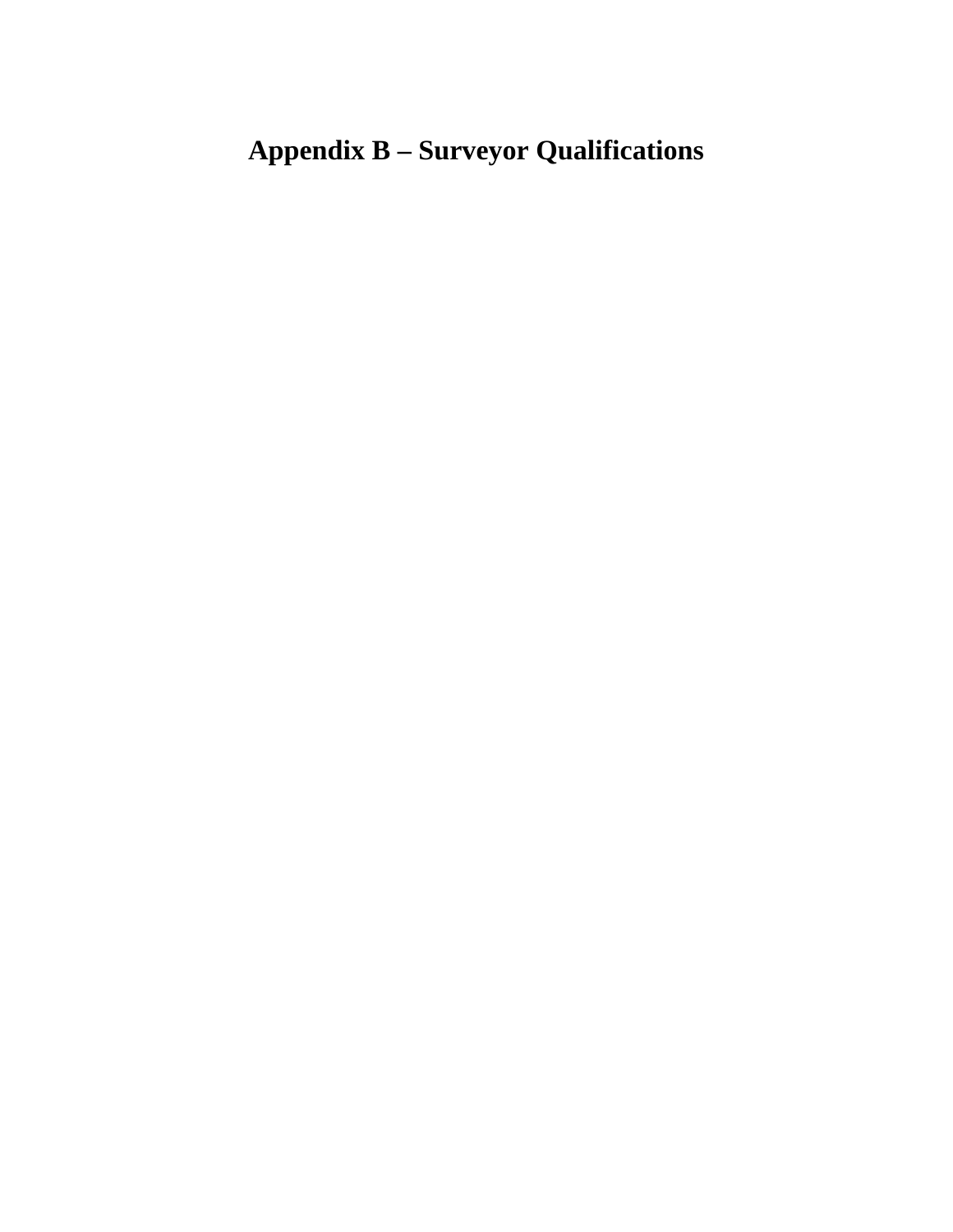# **Appendix B – Surveyor Qualifications**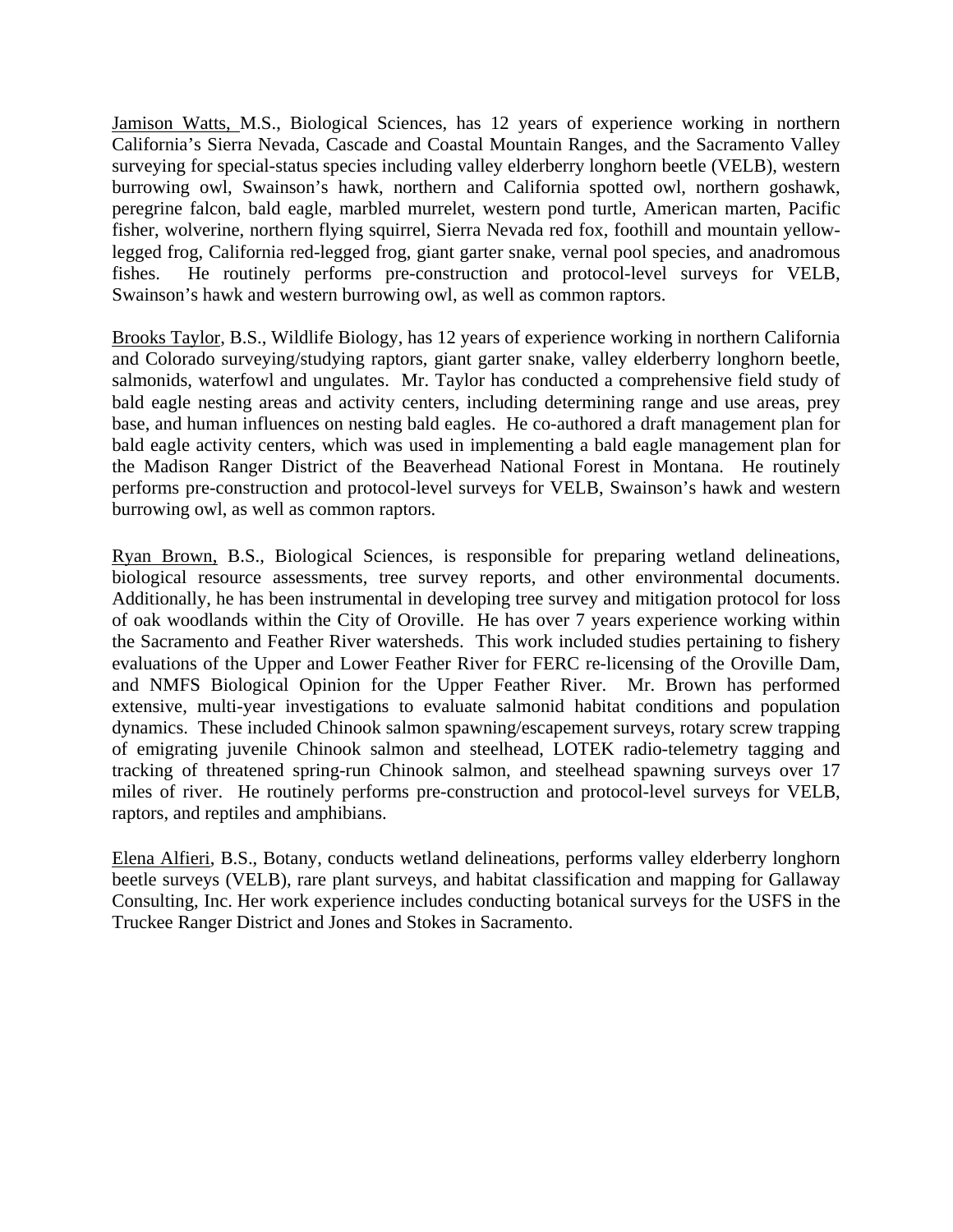Jamison Watts, M.S., Biological Sciences, has 12 years of experience working in northern California's Sierra Nevada, Cascade and Coastal Mountain Ranges, and the Sacramento Valley surveying for special-status species including valley elderberry longhorn beetle (VELB), western burrowing owl, Swainson's hawk, northern and California spotted owl, northern goshawk, peregrine falcon, bald eagle, marbled murrelet, western pond turtle, American marten, Pacific fisher, wolverine, northern flying squirrel, Sierra Nevada red fox, foothill and mountain yellowlegged frog, California red-legged frog, giant garter snake, vernal pool species, and anadromous fishes. He routinely performs pre-construction and protocol-level surveys for VELB, Swainson's hawk and western burrowing owl, as well as common raptors.

Brooks Taylor, B.S., Wildlife Biology, has 12 years of experience working in northern California and Colorado surveying/studying raptors, giant garter snake, valley elderberry longhorn beetle, salmonids, waterfowl and ungulates. Mr. Taylor has conducted a comprehensive field study of bald eagle nesting areas and activity centers, including determining range and use areas, prey base, and human influences on nesting bald eagles. He co-authored a draft management plan for bald eagle activity centers, which was used in implementing a bald eagle management plan for the Madison Ranger District of the Beaverhead National Forest in Montana. He routinely performs pre-construction and protocol-level surveys for VELB, Swainson's hawk and western burrowing owl, as well as common raptors.

Ryan Brown, B.S., Biological Sciences, is responsible for preparing wetland delineations, biological resource assessments, tree survey reports, and other environmental documents. Additionally, he has been instrumental in developing tree survey and mitigation protocol for loss of oak woodlands within the City of Oroville. He has over 7 years experience working within the Sacramento and Feather River watersheds. This work included studies pertaining to fishery evaluations of the Upper and Lower Feather River for FERC re-licensing of the Oroville Dam, and NMFS Biological Opinion for the Upper Feather River. Mr. Brown has performed extensive, multi-year investigations to evaluate salmonid habitat conditions and population dynamics. These included Chinook salmon spawning/escapement surveys, rotary screw trapping of emigrating juvenile Chinook salmon and steelhead, LOTEK radio-telemetry tagging and tracking of threatened spring-run Chinook salmon, and steelhead spawning surveys over 17 miles of river. He routinely performs pre-construction and protocol-level surveys for VELB, raptors, and reptiles and amphibians.

Elena Alfieri, B.S., Botany, conducts wetland delineations, performs valley elderberry longhorn beetle surveys (VELB), rare plant surveys, and habitat classification and mapping for Gallaway Consulting, Inc. Her work experience includes conducting botanical surveys for the USFS in the Truckee Ranger District and Jones and Stokes in Sacramento.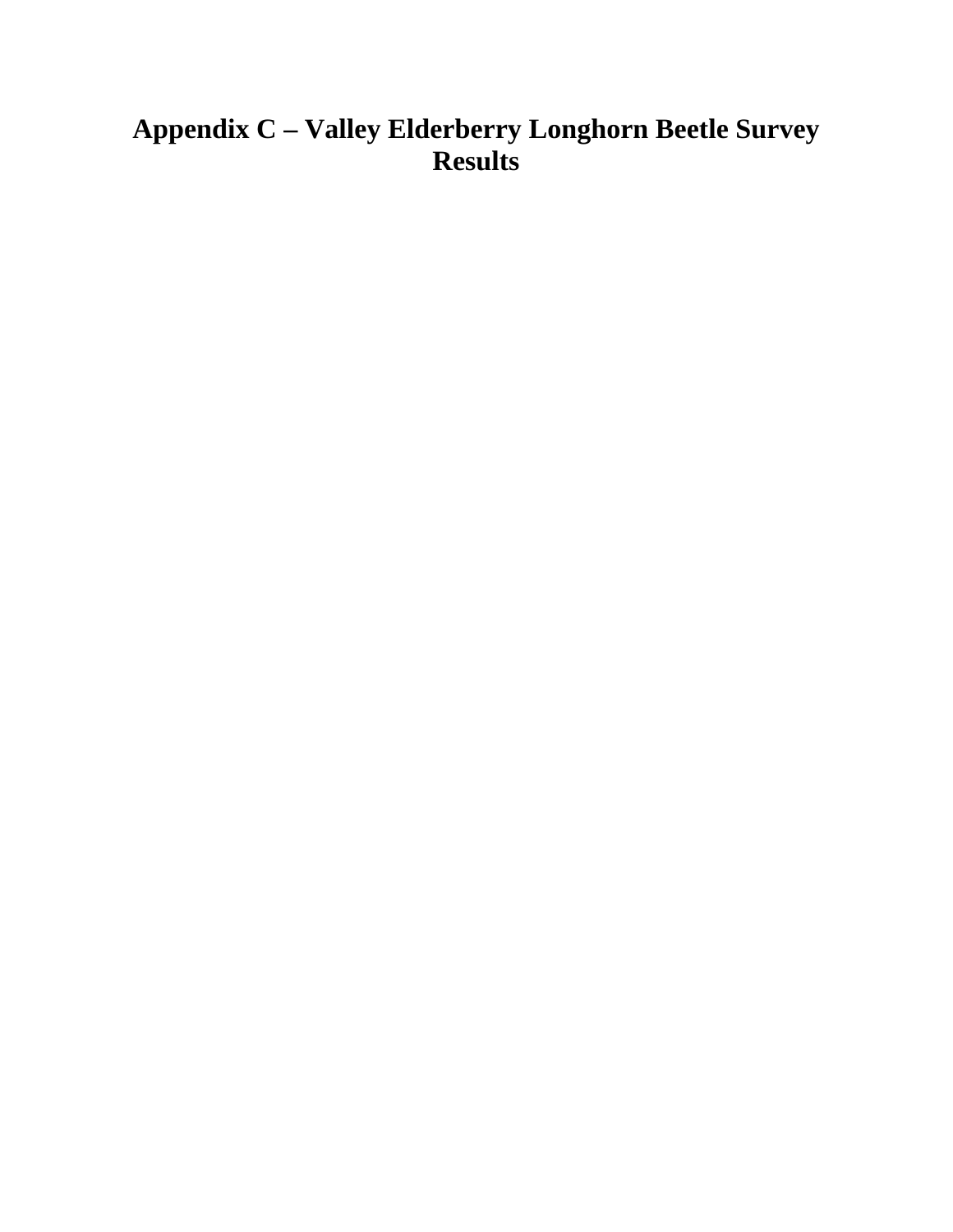## **Appendix C – Valley Elderberry Longhorn Beetle Survey Results**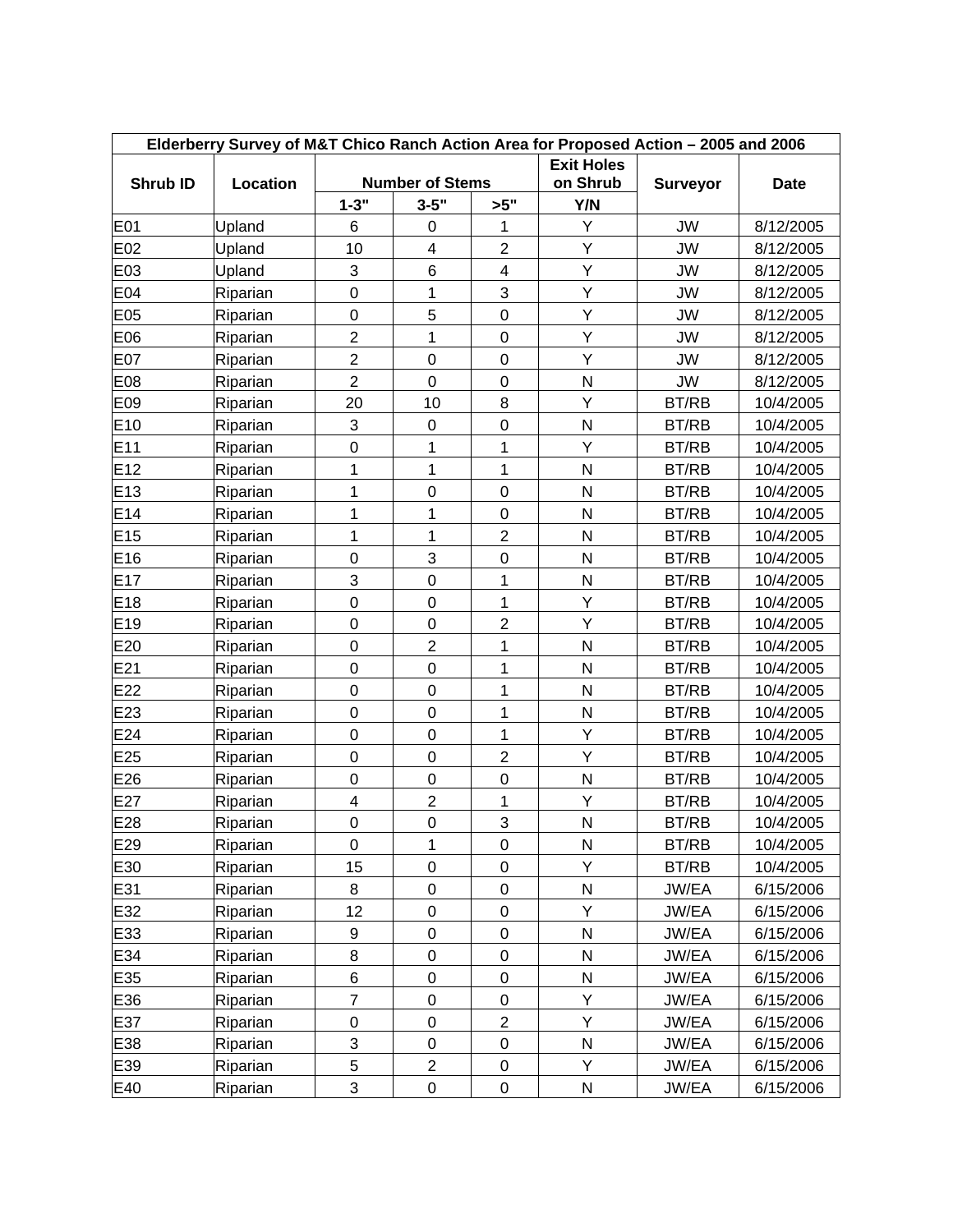| Elderberry Survey of M&T Chico Ranch Action Area for Proposed Action - 2005 and 2006 |          |                         |                                    |                         |                   |                 |           |  |  |  |  |  |
|--------------------------------------------------------------------------------------|----------|-------------------------|------------------------------------|-------------------------|-------------------|-----------------|-----------|--|--|--|--|--|
|                                                                                      |          |                         |                                    |                         | <b>Exit Holes</b> |                 |           |  |  |  |  |  |
| Shrub ID                                                                             | Location | $1 - 3"$                | <b>Number of Stems</b><br>$3 - 5"$ | >5"                     | on Shrub<br>Y/N   | <b>Surveyor</b> | Date      |  |  |  |  |  |
| E01                                                                                  | Upland   | 6                       | 0                                  | 1                       | Υ                 | <b>JW</b>       | 8/12/2005 |  |  |  |  |  |
| E02                                                                                  | Upland   | 10                      | $\overline{\mathbf{4}}$            | $\overline{2}$          | Υ                 | <b>JW</b>       | 8/12/2005 |  |  |  |  |  |
| E03                                                                                  | Upland   | 3                       | $6\phantom{1}$                     | $\overline{\mathbf{4}}$ | Y                 | <b>JW</b>       | 8/12/2005 |  |  |  |  |  |
| E04                                                                                  | Riparian | $\boldsymbol{0}$        | 1                                  | 3                       | Υ                 | <b>JW</b>       | 8/12/2005 |  |  |  |  |  |
| E05                                                                                  | Riparian | $\boldsymbol{0}$        | 5                                  | $\boldsymbol{0}$        | Υ                 | <b>JW</b>       | 8/12/2005 |  |  |  |  |  |
| E06                                                                                  | Riparian | $\overline{2}$          | 1                                  | $\boldsymbol{0}$        | Υ                 | <b>JW</b>       | 8/12/2005 |  |  |  |  |  |
| E07                                                                                  | Riparian | $\overline{c}$          | $\pmb{0}$                          | $\pmb{0}$               | Υ                 | JW              | 8/12/2005 |  |  |  |  |  |
| E08                                                                                  | Riparian | $\overline{2}$          | $\mathbf 0$                        | $\mathbf 0$             | N                 | <b>JW</b>       | 8/12/2005 |  |  |  |  |  |
| E09                                                                                  | Riparian | 20                      | 10                                 | 8                       | Υ                 | BT/RB           | 10/4/2005 |  |  |  |  |  |
| E <sub>10</sub>                                                                      | Riparian | 3                       | $\pmb{0}$                          | $\mathbf 0$             | N                 |                 | 10/4/2005 |  |  |  |  |  |
| E <sub>11</sub>                                                                      |          | 0                       | 1                                  | 1                       | Υ                 | BT/RB           |           |  |  |  |  |  |
| E12                                                                                  | Riparian | 1                       | 1                                  | $\mathbf 1$             | $\mathsf{N}$      | BT/RB           | 10/4/2005 |  |  |  |  |  |
|                                                                                      | Riparian |                         |                                    |                         | N                 | BT/RB           | 10/4/2005 |  |  |  |  |  |
| E13                                                                                  | Riparian | 1                       | $\pmb{0}$                          | $\boldsymbol{0}$        |                   | BT/RB           | 10/4/2005 |  |  |  |  |  |
| E14                                                                                  | Riparian | 1                       | 1                                  | $\mathbf 0$             | N                 | BT/RB           | 10/4/2005 |  |  |  |  |  |
| E15                                                                                  | Riparian | 1                       | 1                                  | $\mathbf 2$             | $\mathsf{N}$      | BT/RB           | 10/4/2005 |  |  |  |  |  |
| E16                                                                                  | Riparian | $\mathbf 0$             | 3                                  | $\mathbf 0$             | N                 | BT/RB           | 10/4/2005 |  |  |  |  |  |
| E <sub>17</sub>                                                                      | Riparian | 3                       | $\pmb{0}$                          | 1                       | $\mathsf{N}$      | BT/RB           | 10/4/2005 |  |  |  |  |  |
| E18                                                                                  | Riparian | $\mathbf 0$             | $\pmb{0}$                          | $\mathbf 1$             | Υ                 | BT/RB           | 10/4/2005 |  |  |  |  |  |
| E <sub>19</sub>                                                                      | Riparian | 0                       | $\pmb{0}$                          | $\overline{2}$          | Y                 | BT/RB           | 10/4/2005 |  |  |  |  |  |
| E20                                                                                  | Riparian | $\boldsymbol{0}$        | $\overline{2}$                     | $\mathbf 1$             | $\mathsf{N}$      | BT/RB           | 10/4/2005 |  |  |  |  |  |
| E21                                                                                  | Riparian | $\boldsymbol{0}$        | $\mathbf 0$                        | 1                       | N                 | BT/RB           | 10/4/2005 |  |  |  |  |  |
| E22                                                                                  | Riparian | $\pmb{0}$               | $\pmb{0}$                          | 1                       | N                 | BT/RB           | 10/4/2005 |  |  |  |  |  |
| E23                                                                                  | Riparian | $\boldsymbol{0}$        | $\pmb{0}$                          | $\mathbf 1$             | $\mathsf{N}$      | BT/RB           | 10/4/2005 |  |  |  |  |  |
| E24                                                                                  | Riparian | $\boldsymbol{0}$        | $\pmb{0}$                          | $\mathbf 1$             | Υ                 | BT/RB           | 10/4/2005 |  |  |  |  |  |
| E25                                                                                  | Riparian | $\boldsymbol{0}$        | $\pmb{0}$                          | $\overline{2}$          | Υ                 | BT/RB           | 10/4/2005 |  |  |  |  |  |
| E26                                                                                  | Riparian | $\mathbf 0$             | $\pmb{0}$                          | $\boldsymbol{0}$        | $\mathsf{N}$      | BT/RB           | 10/4/2005 |  |  |  |  |  |
| E27                                                                                  | Riparian | $\overline{\mathbf{4}}$ | $\overline{2}$                     | $\mathbf 1$             | Υ                 | BT/RB           | 10/4/2005 |  |  |  |  |  |
| E28                                                                                  | Riparian | $\pmb{0}$               | $\pmb{0}$                          | 3                       | $\mathsf{N}$      | BT/RB           | 10/4/2005 |  |  |  |  |  |
| E29                                                                                  | Riparian | $\boldsymbol{0}$        | 1                                  | $\mathbf 0$             | N                 | BT/RB           | 10/4/2005 |  |  |  |  |  |
| E30                                                                                  | Riparian | 15                      | $\pmb{0}$                          | 0                       | Y                 | BT/RB           | 10/4/2005 |  |  |  |  |  |
| E31                                                                                  | Riparian | 8                       | $\pmb{0}$                          | $\boldsymbol{0}$        | ${\sf N}$         | JW/EA           | 6/15/2006 |  |  |  |  |  |
| E32                                                                                  | Riparian | 12                      | $\pmb{0}$                          | $\pmb{0}$               | Υ                 | JW/EA           | 6/15/2006 |  |  |  |  |  |
| E33                                                                                  | Riparian | 9                       | $\mathbf 0$                        | $\mathbf 0$             | N                 | JW/EA           | 6/15/2006 |  |  |  |  |  |
| E34                                                                                  | Riparian | 8                       | $\pmb{0}$                          | $\mathbf 0$             | $\mathsf{N}$      | JW/EA           | 6/15/2006 |  |  |  |  |  |
| E35                                                                                  | Riparian | $\,6$                   | $\pmb{0}$                          | $\boldsymbol{0}$        | N                 | JW/EA           | 6/15/2006 |  |  |  |  |  |
| E36                                                                                  | Riparian | $\overline{7}$          | $\pmb{0}$                          | $\pmb{0}$               | Υ                 | JW/EA           | 6/15/2006 |  |  |  |  |  |
| E37                                                                                  | Riparian | $\boldsymbol{0}$        | $\pmb{0}$                          | $\mathbf 2$             | Υ                 | JW/EA           | 6/15/2006 |  |  |  |  |  |
| E38                                                                                  | Riparian | 3                       | $\pmb{0}$                          | $\mathbf 0$             | ${\sf N}$         | JW/EA           | 6/15/2006 |  |  |  |  |  |
| E39                                                                                  | Riparian | 5                       | $\overline{c}$                     | $\pmb{0}$               | Υ                 | JW/EA           | 6/15/2006 |  |  |  |  |  |
| E40                                                                                  | Riparian | 3                       | $\pmb{0}$                          | $\boldsymbol{0}$        | N                 | JW/EA           | 6/15/2006 |  |  |  |  |  |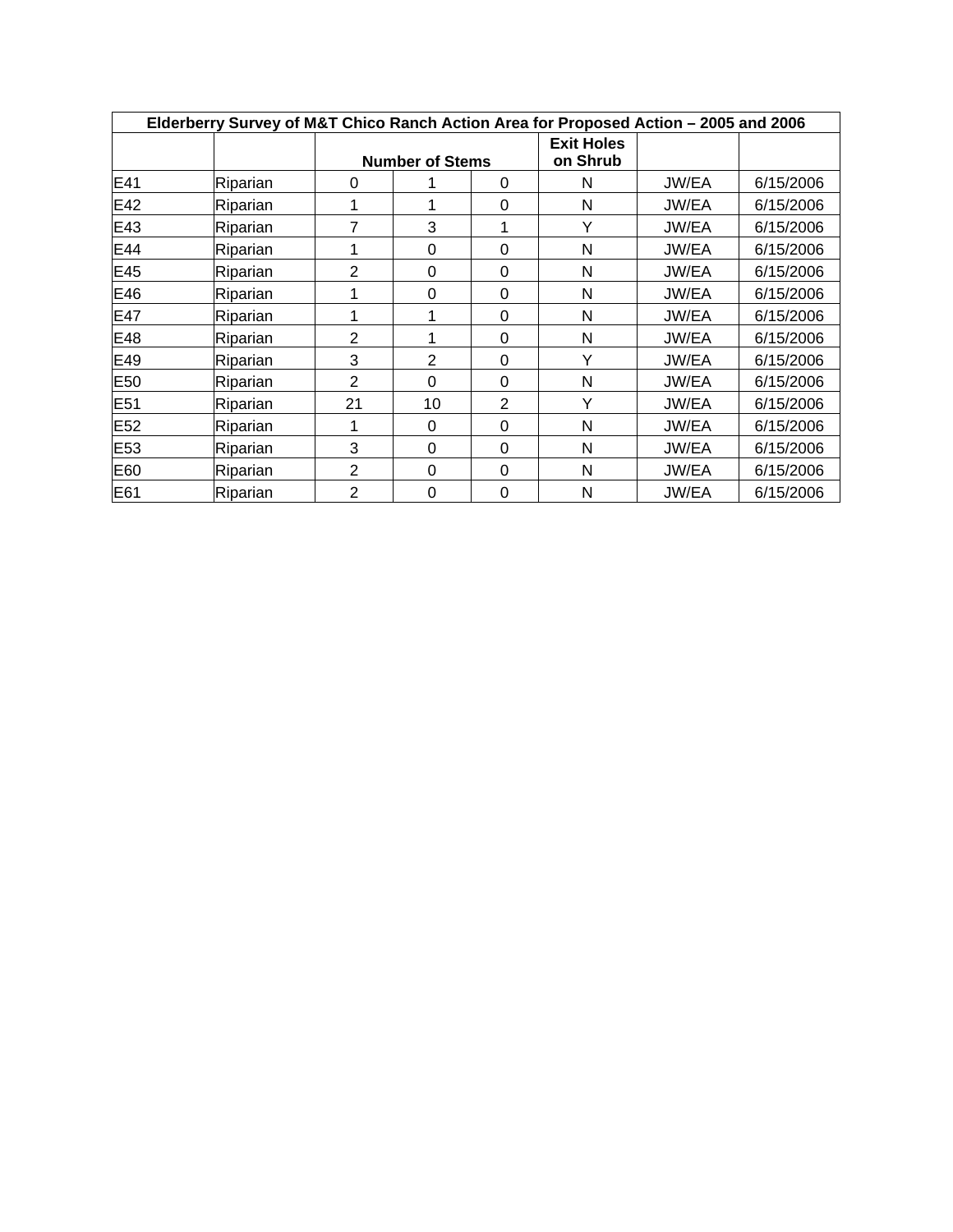| Elderberry Survey of M&T Chico Ranch Action Area for Proposed Action - 2005 and 2006 |          |                |                        |          |                               |       |           |  |  |  |  |  |
|--------------------------------------------------------------------------------------|----------|----------------|------------------------|----------|-------------------------------|-------|-----------|--|--|--|--|--|
|                                                                                      |          |                | <b>Number of Stems</b> |          | <b>Exit Holes</b><br>on Shrub |       |           |  |  |  |  |  |
| E41                                                                                  | Riparian | 0              |                        | 0        | N                             | JW/EA | 6/15/2006 |  |  |  |  |  |
| E42                                                                                  | Riparian |                |                        | 0        | N                             | JW/EA | 6/15/2006 |  |  |  |  |  |
| E43                                                                                  | Riparian |                | 3                      |          | Υ                             | JW/EA | 6/15/2006 |  |  |  |  |  |
| E44                                                                                  | Riparian |                | $\Omega$               | $\Omega$ | N                             | JW/EA | 6/15/2006 |  |  |  |  |  |
| E45                                                                                  | Riparian | 2              | $\Omega$               | 0        | N                             | JW/EA | 6/15/2006 |  |  |  |  |  |
| E46                                                                                  | Riparian |                | 0                      | 0        | N                             | JW/EA | 6/15/2006 |  |  |  |  |  |
| E47                                                                                  | Riparian |                | 1                      | 0        | N                             | JW/EA | 6/15/2006 |  |  |  |  |  |
| E48                                                                                  | Riparian | $\overline{2}$ |                        | 0        | N                             | JW/EA | 6/15/2006 |  |  |  |  |  |
| E49                                                                                  | Riparian | 3              | $\overline{2}$         | 0        | v                             | JW/EA | 6/15/2006 |  |  |  |  |  |
| E <sub>50</sub>                                                                      | Riparian | 2              | $\Omega$               | 0        | N                             | JW/EA | 6/15/2006 |  |  |  |  |  |
| E <sub>51</sub>                                                                      | Riparian | 21             | 10                     | 2        | Υ                             | JW/EA | 6/15/2006 |  |  |  |  |  |
| E <sub>52</sub>                                                                      | Riparian |                | $\Omega$               | $\Omega$ | N                             | JW/EA | 6/15/2006 |  |  |  |  |  |
| E <sub>53</sub>                                                                      | Riparian | 3              | $\Omega$               | 0        | N                             | JW/EA | 6/15/2006 |  |  |  |  |  |
| E60                                                                                  | Riparian | 2              | $\Omega$               | $\Omega$ | N                             | JW/EA | 6/15/2006 |  |  |  |  |  |
| E61                                                                                  | Riparian | $\overline{2}$ | 0                      | 0        | N                             | JW/EA | 6/15/2006 |  |  |  |  |  |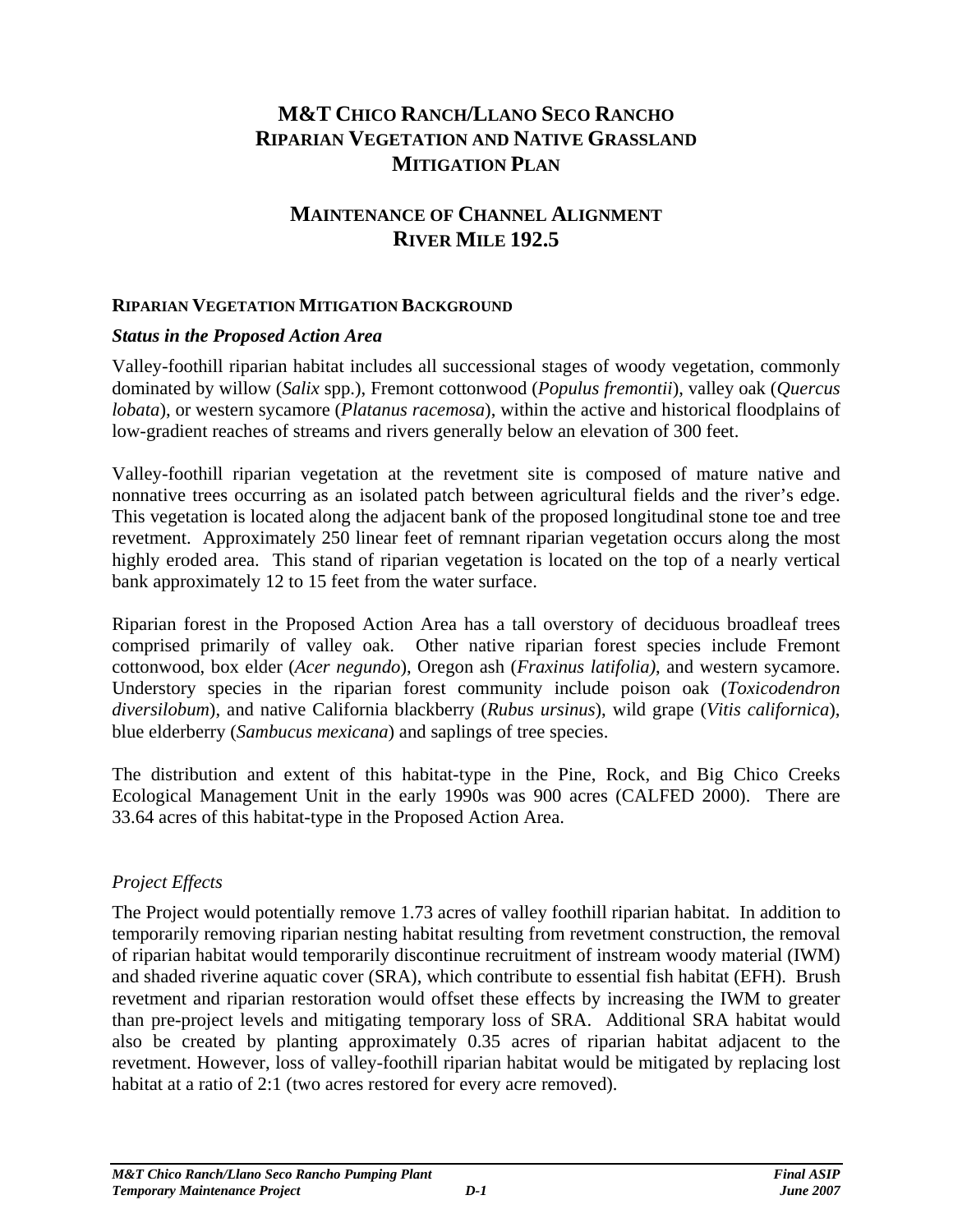### **M&T CHICO RANCH/LLANO SECO RANCHO RIPARIAN VEGETATION AND NATIVE GRASSLAND MITIGATION PLAN**

#### **MAINTENANCE OF CHANNEL ALIGNMENT RIVER MILE 192.5**

#### **RIPARIAN VEGETATION MITIGATION BACKGROUND**

#### *Status in the Proposed Action Area*

Valley-foothill riparian habitat includes all successional stages of woody vegetation, commonly dominated by willow (*Salix* spp.), Fremont cottonwood (*Populus fremontii*), valley oak (*Quercus lobata*), or western sycamore (*Platanus racemosa*), within the active and historical floodplains of low-gradient reaches of streams and rivers generally below an elevation of 300 feet.

Valley-foothill riparian vegetation at the revetment site is composed of mature native and nonnative trees occurring as an isolated patch between agricultural fields and the river's edge. This vegetation is located along the adjacent bank of the proposed longitudinal stone toe and tree revetment. Approximately 250 linear feet of remnant riparian vegetation occurs along the most highly eroded area. This stand of riparian vegetation is located on the top of a nearly vertical bank approximately 12 to 15 feet from the water surface.

Riparian forest in the Proposed Action Area has a tall overstory of deciduous broadleaf trees comprised primarily of valley oak. Other native riparian forest species include Fremont cottonwood, box elder (*Acer negundo*), Oregon ash (*Fraxinus latifolia)*, and western sycamore. Understory species in the riparian forest community include poison oak (*Toxicodendron diversilobum*), and native California blackberry (*Rubus ursinus*), wild grape (*Vitis californica*), blue elderberry (*Sambucus mexicana*) and saplings of tree species.

The distribution and extent of this habitat-type in the Pine, Rock, and Big Chico Creeks Ecological Management Unit in the early 1990s was 900 acres (CALFED 2000). There are 33.64 acres of this habitat-type in the Proposed Action Area.

#### *Project Effects*

The Project would potentially remove 1.73 acres of valley foothill riparian habitat. In addition to temporarily removing riparian nesting habitat resulting from revetment construction, the removal of riparian habitat would temporarily discontinue recruitment of instream woody material (IWM) and shaded riverine aquatic cover (SRA), which contribute to essential fish habitat (EFH). Brush revetment and riparian restoration would offset these effects by increasing the IWM to greater than pre-project levels and mitigating temporary loss of SRA. Additional SRA habitat would also be created by planting approximately 0.35 acres of riparian habitat adjacent to the revetment. However, loss of valley-foothill riparian habitat would be mitigated by replacing lost habitat at a ratio of 2:1 (two acres restored for every acre removed).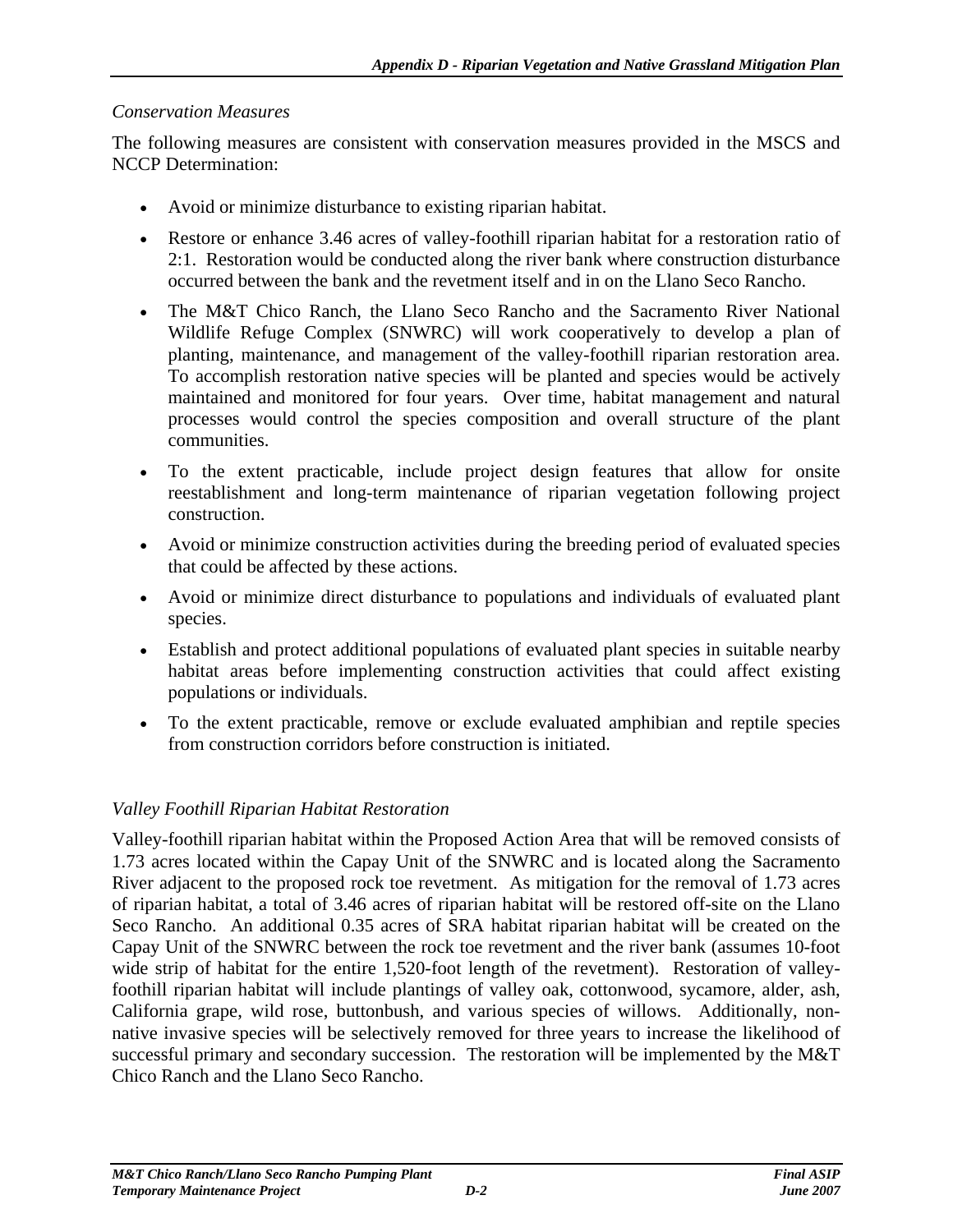#### *Conservation Measures*

The following measures are consistent with conservation measures provided in the MSCS and NCCP Determination:

- Avoid or minimize disturbance to existing riparian habitat.
- Restore or enhance 3.46 acres of valley-foothill riparian habitat for a restoration ratio of 2:1. Restoration would be conducted along the river bank where construction disturbance occurred between the bank and the revetment itself and in on the Llano Seco Rancho.
- The M&T Chico Ranch, the Llano Seco Rancho and the Sacramento River National Wildlife Refuge Complex (SNWRC) will work cooperatively to develop a plan of planting, maintenance, and management of the valley-foothill riparian restoration area. To accomplish restoration native species will be planted and species would be actively maintained and monitored for four years. Over time, habitat management and natural processes would control the species composition and overall structure of the plant communities.
- To the extent practicable, include project design features that allow for onsite reestablishment and long-term maintenance of riparian vegetation following project construction.
- Avoid or minimize construction activities during the breeding period of evaluated species that could be affected by these actions.
- Avoid or minimize direct disturbance to populations and individuals of evaluated plant species.
- Establish and protect additional populations of evaluated plant species in suitable nearby habitat areas before implementing construction activities that could affect existing populations or individuals.
- To the extent practicable, remove or exclude evaluated amphibian and reptile species from construction corridors before construction is initiated.

#### *Valley Foothill Riparian Habitat Restoration*

Valley-foothill riparian habitat within the Proposed Action Area that will be removed consists of 1.73 acres located within the Capay Unit of the SNWRC and is located along the Sacramento River adjacent to the proposed rock toe revetment. As mitigation for the removal of 1.73 acres of riparian habitat, a total of 3.46 acres of riparian habitat will be restored off-site on the Llano Seco Rancho. An additional 0.35 acres of SRA habitat riparian habitat will be created on the Capay Unit of the SNWRC between the rock toe revetment and the river bank (assumes 10-foot wide strip of habitat for the entire 1,520-foot length of the revetment). Restoration of valleyfoothill riparian habitat will include plantings of valley oak, cottonwood, sycamore, alder, ash, California grape, wild rose, buttonbush, and various species of willows. Additionally, nonnative invasive species will be selectively removed for three years to increase the likelihood of successful primary and secondary succession. The restoration will be implemented by the M&T Chico Ranch and the Llano Seco Rancho.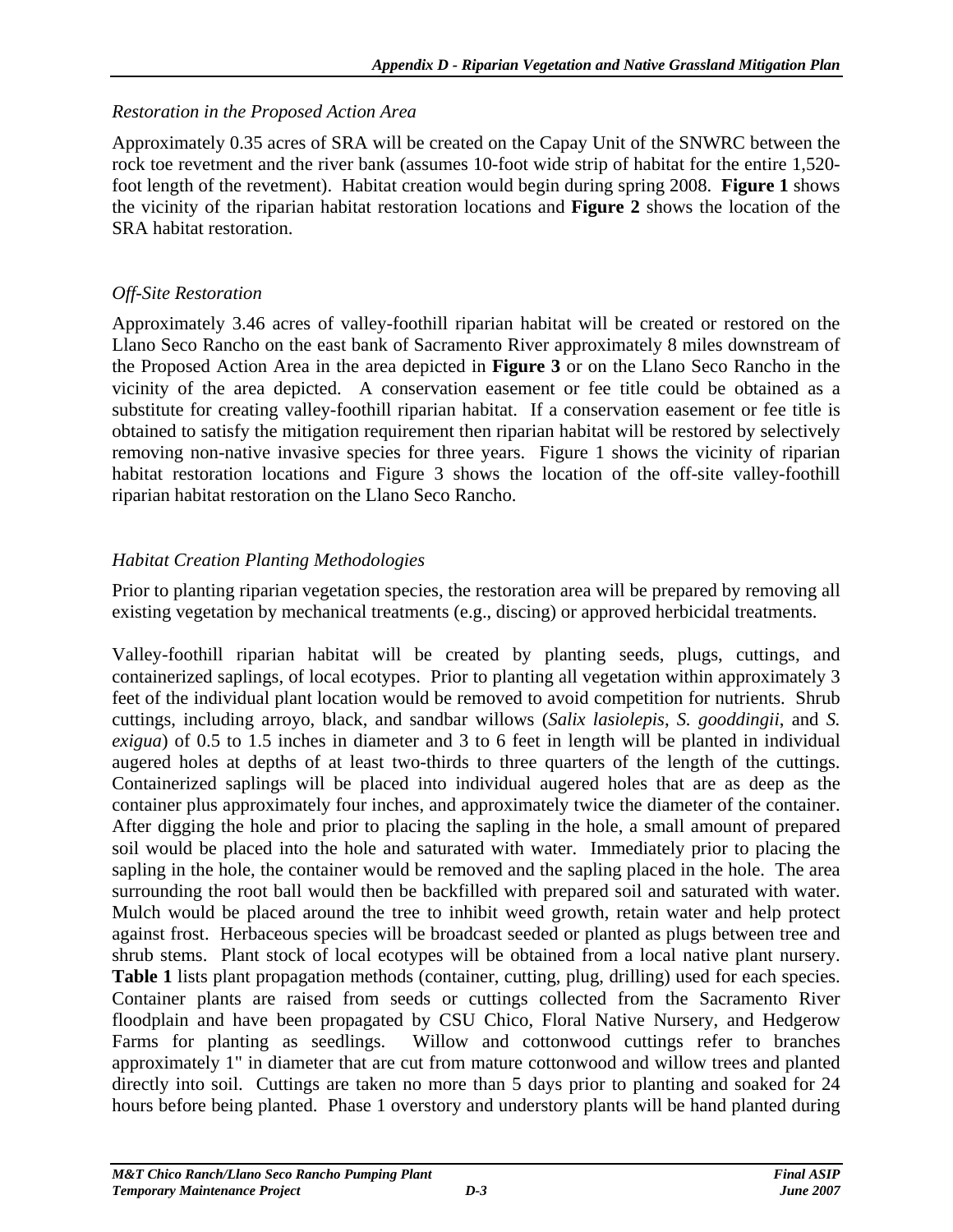#### *Restoration in the Proposed Action Area*

Approximately 0.35 acres of SRA will be created on the Capay Unit of the SNWRC between the rock toe revetment and the river bank (assumes 10-foot wide strip of habitat for the entire 1,520 foot length of the revetment). Habitat creation would begin during spring 2008. **Figure 1** shows the vicinity of the riparian habitat restoration locations and **Figure 2** shows the location of the SRA habitat restoration.

#### *Off-Site Restoration*

Approximately 3.46 acres of valley-foothill riparian habitat will be created or restored on the Llano Seco Rancho on the east bank of Sacramento River approximately 8 miles downstream of the Proposed Action Area in the area depicted in **Figure 3** or on the Llano Seco Rancho in the vicinity of the area depicted. A conservation easement or fee title could be obtained as a substitute for creating valley-foothill riparian habitat. If a conservation easement or fee title is obtained to satisfy the mitigation requirement then riparian habitat will be restored by selectively removing non-native invasive species for three years. Figure 1 shows the vicinity of riparian habitat restoration locations and Figure 3 shows the location of the off-site valley-foothill riparian habitat restoration on the Llano Seco Rancho.

### *Habitat Creation Planting Methodologies*

Prior to planting riparian vegetation species, the restoration area will be prepared by removing all existing vegetation by mechanical treatments (e.g., discing) or approved herbicidal treatments.

Valley-foothill riparian habitat will be created by planting seeds, plugs, cuttings, and containerized saplings, of local ecotypes. Prior to planting all vegetation within approximately 3 feet of the individual plant location would be removed to avoid competition for nutrients. Shrub cuttings, including arroyo, black, and sandbar willows (*Salix lasiolepis*, *S. gooddingii*, and *S. exigua*) of 0.5 to 1.5 inches in diameter and 3 to 6 feet in length will be planted in individual augered holes at depths of at least two-thirds to three quarters of the length of the cuttings. Containerized saplings will be placed into individual augered holes that are as deep as the container plus approximately four inches, and approximately twice the diameter of the container. After digging the hole and prior to placing the sapling in the hole, a small amount of prepared soil would be placed into the hole and saturated with water. Immediately prior to placing the sapling in the hole, the container would be removed and the sapling placed in the hole. The area surrounding the root ball would then be backfilled with prepared soil and saturated with water. Mulch would be placed around the tree to inhibit weed growth, retain water and help protect against frost. Herbaceous species will be broadcast seeded or planted as plugs between tree and shrub stems. Plant stock of local ecotypes will be obtained from a local native plant nursery. **Table 1** lists plant propagation methods (container, cutting, plug, drilling) used for each species. Container plants are raised from seeds or cuttings collected from the Sacramento River floodplain and have been propagated by CSU Chico, Floral Native Nursery, and Hedgerow Farms for planting as seedlings. Willow and cottonwood cuttings refer to branches approximately 1" in diameter that are cut from mature cottonwood and willow trees and planted directly into soil. Cuttings are taken no more than 5 days prior to planting and soaked for 24 hours before being planted. Phase 1 overstory and understory plants will be hand planted during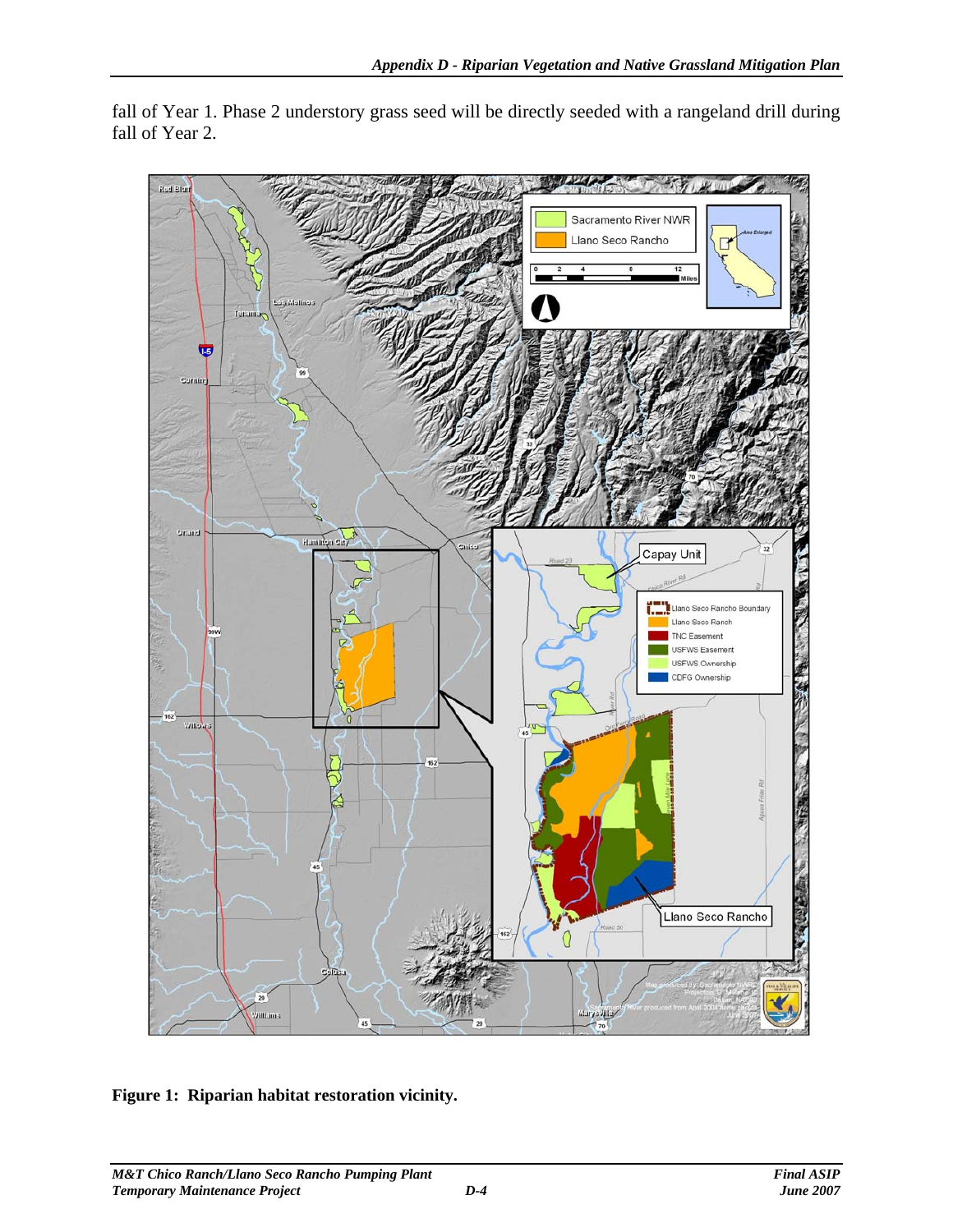$100 - 1111$ وجاد Red Bluff Sacramento River NWR Llano Seco Rancho Tenan **TES** Sitund Hamilton Say Snissi Capay Unit Jano Seco Rancho Boundar Llano Seco Ranch TNC Easement **USFWS Easement** USFWS Ownership CDFG Ownership 162 0 **Willelas** Llano Seco Rancho  $\Omega$ 20 Williams Muryadill  $\overline{45}$ 

fall of Year 1. Phase 2 understory grass seed will be directly seeded with a rangeland drill during fall of Year 2.

**Figure 1: Riparian habitat restoration vicinity.**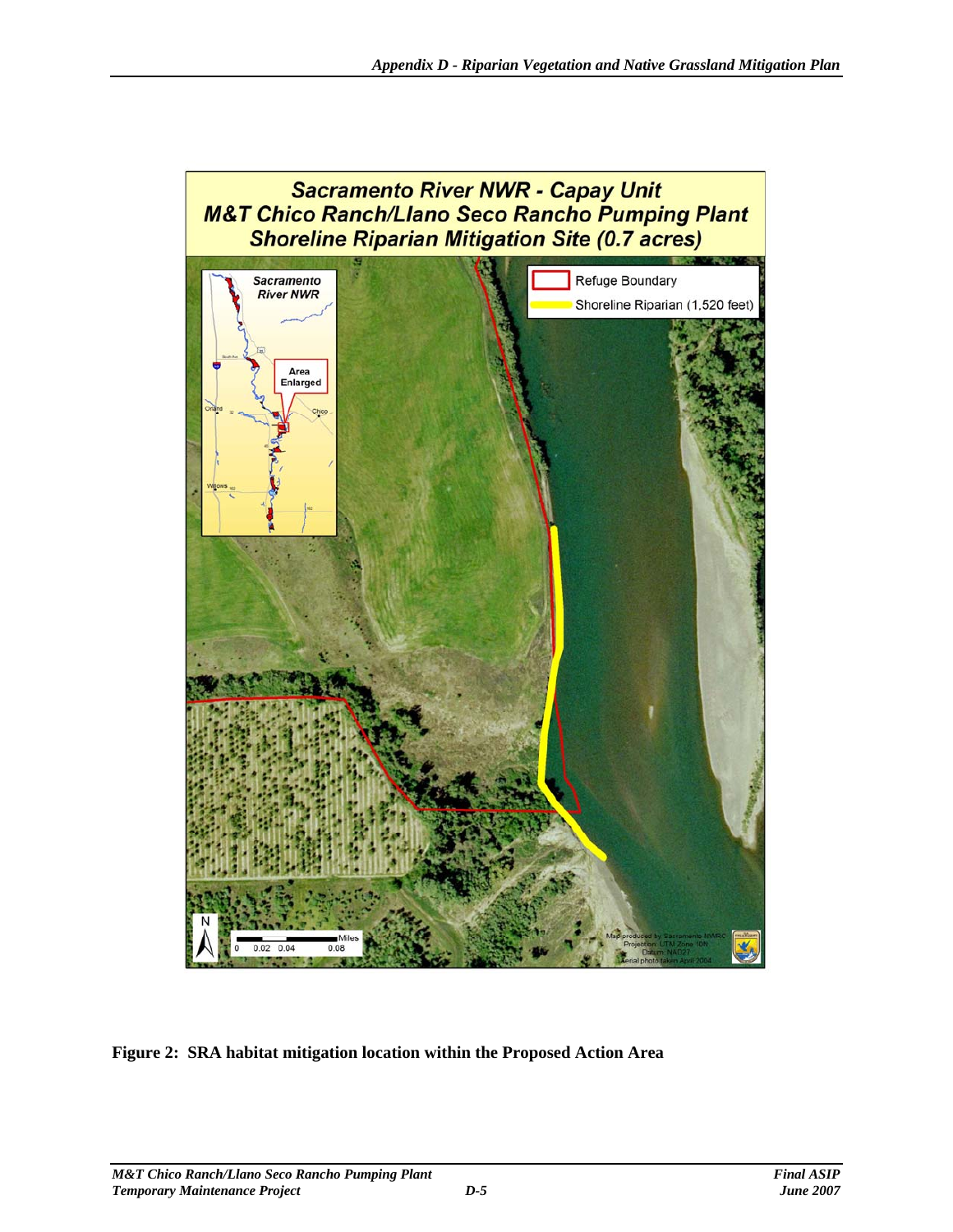

**Figure 2: SRA habitat mitigation location within the Proposed Action Area**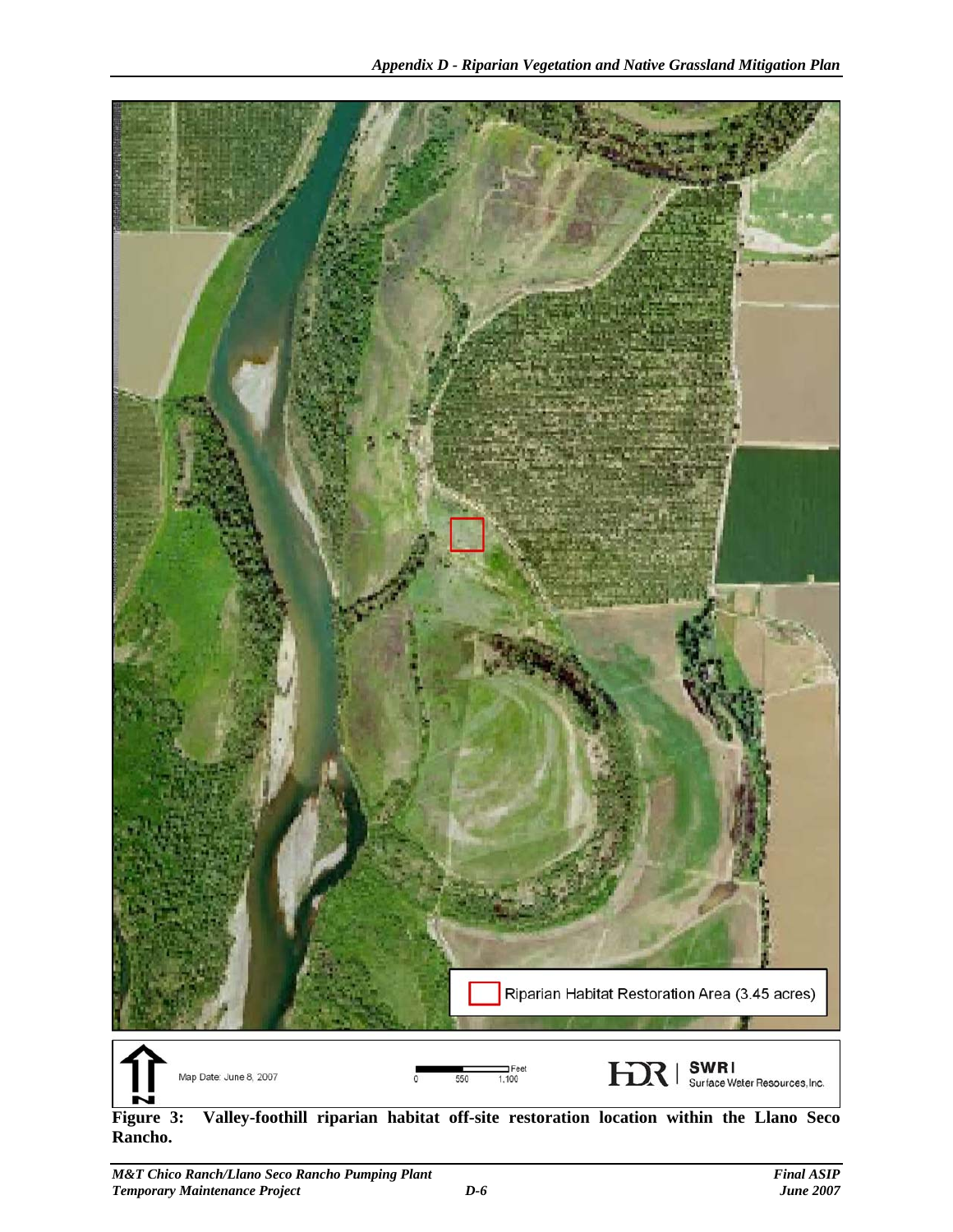

**Figure 3: Valley-foothill riparian habitat off-site restoration location within the Llano Seco Rancho.**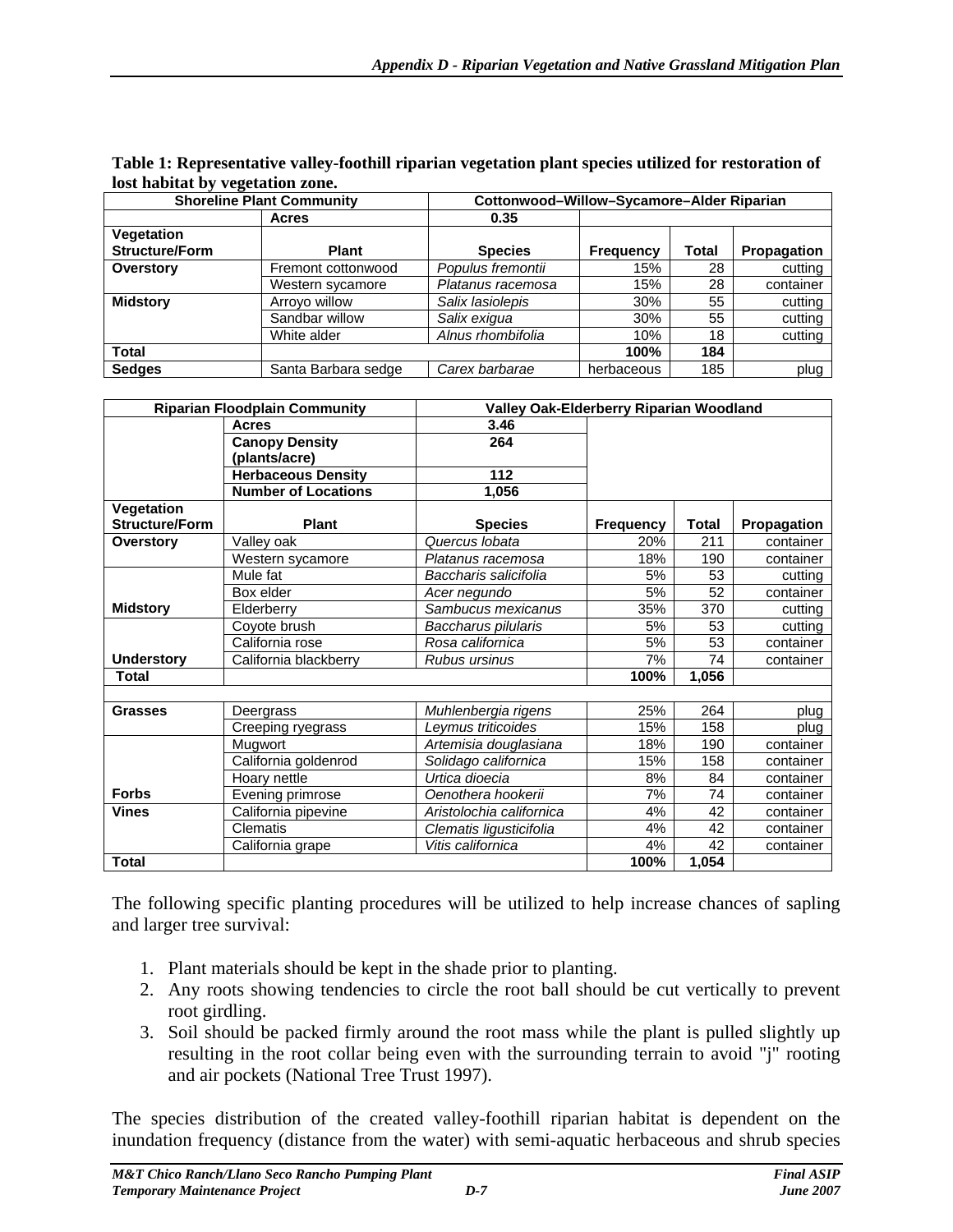|                       | <b>Shoreline Plant Community</b> | Cottonwood-Willow-Sycamore-Alder Riparian |                  |              |             |  |  |  |  |  |
|-----------------------|----------------------------------|-------------------------------------------|------------------|--------------|-------------|--|--|--|--|--|
|                       | <b>Acres</b>                     | 0.35                                      |                  |              |             |  |  |  |  |  |
| Vegetation            |                                  |                                           |                  |              |             |  |  |  |  |  |
| <b>Structure/Form</b> | <b>Plant</b>                     | <b>Species</b>                            | <b>Frequency</b> | <b>Total</b> | Propagation |  |  |  |  |  |
| Overstory             | Fremont cottonwood               | Populus fremontii                         | 15%              | 28           | cutting     |  |  |  |  |  |
|                       | Western sycamore                 | Platanus racemosa                         | 15%              | 28           | container   |  |  |  |  |  |
| <b>Midstory</b>       | Arroyo willow                    | Salix lasiolepis                          | 30%              | 55           | cutting     |  |  |  |  |  |
|                       | Sandbar willow                   | Salix exigua                              | 30%              | 55           | cutting     |  |  |  |  |  |
|                       | White alder                      | Alnus rhombifolia                         | 10%              | 18           | cutting     |  |  |  |  |  |
| <b>Total</b>          |                                  |                                           | 100%             | 184          |             |  |  |  |  |  |
| <b>Sedges</b>         | Santa Barbara sedge              | Carex barbarae                            | herbaceous       | 185          | plug        |  |  |  |  |  |

| Table 1: Representative valley-foothill riparian vegetation plant species utilized for restoration of |  |
|-------------------------------------------------------------------------------------------------------|--|
| lost habitat by vegetation zone.                                                                      |  |

|                       | <b>Riparian Floodplain Community</b>   | Valley Oak-Elderberry Riparian Woodland |                  |              |             |
|-----------------------|----------------------------------------|-----------------------------------------|------------------|--------------|-------------|
|                       | <b>Acres</b>                           | 3.46                                    |                  |              |             |
|                       | <b>Canopy Density</b><br>(plants/acre) | 264                                     |                  |              |             |
|                       | <b>Herbaceous Density</b>              | 112                                     |                  |              |             |
|                       | <b>Number of Locations</b>             | 1,056                                   |                  |              |             |
| Vegetation            |                                        |                                         |                  |              |             |
| <b>Structure/Form</b> | Plant                                  | <b>Species</b>                          | <b>Frequency</b> | <b>Total</b> | Propagation |
| <b>Overstory</b>      | Valley oak                             | Quercus Iobata                          | 20%              | 211          | container   |
|                       | Western sycamore                       | Platanus racemosa                       | 18%              | 190          | container   |
|                       | Mule fat                               | Baccharis salicifolia                   | 5%               | 53           | cutting     |
|                       | Box elder                              | Acer negundo                            | 5%               | 52           | container   |
| <b>Midstory</b>       | Elderberry                             | Sambucus mexicanus                      | 35%              | 370          | cutting     |
|                       | Coyote brush                           | Baccharus pilularis                     | 5%               | 53           | cutting     |
|                       | California rose                        | Rosa californica                        | 5%               | 53           | container   |
| <b>Understory</b>     | California blackberry                  | Rubus ursinus                           | 7%               | 74           | container   |
| Total                 |                                        |                                         | 100%             | 1,056        |             |
|                       |                                        |                                         |                  |              |             |
| <b>Grasses</b>        | Deergrass                              | Muhlenbergia rigens                     | 25%              | 264          | plug        |
|                       | Creeping ryegrass                      | Leymus triticoides                      | 15%              | 158          | plug        |
|                       | Mugwort                                | Artemisia douglasiana                   | 18%              | 190          | container   |
|                       | California goldenrod                   | Solidago californica                    | 15%              | 158          | container   |
|                       | Hoary nettle                           | Urtica dioecia                          | 8%               | 84           | container   |
| <b>Forbs</b>          | Evening primrose                       | Oenothera hookerii                      | 7%               | 74           | container   |
| <b>Vines</b>          | California pipevine                    | Aristolochia californica                | 4%               | 42           | container   |
|                       | Clematis                               | Clematis ligusticifolia                 | 4%               | 42           | container   |
|                       | California grape                       | Vitis californica                       | 4%               | 42           | container   |
| <b>Total</b>          |                                        |                                         | 100%             | 1,054        |             |

The following specific planting procedures will be utilized to help increase chances of sapling and larger tree survival:

- 1. Plant materials should be kept in the shade prior to planting.
- 2. Any roots showing tendencies to circle the root ball should be cut vertically to prevent root girdling.
- 3. Soil should be packed firmly around the root mass while the plant is pulled slightly up resulting in the root collar being even with the surrounding terrain to avoid "j" rooting and air pockets (National Tree Trust 1997).

The species distribution of the created valley-foothill riparian habitat is dependent on the inundation frequency (distance from the water) with semi-aquatic herbaceous and shrub species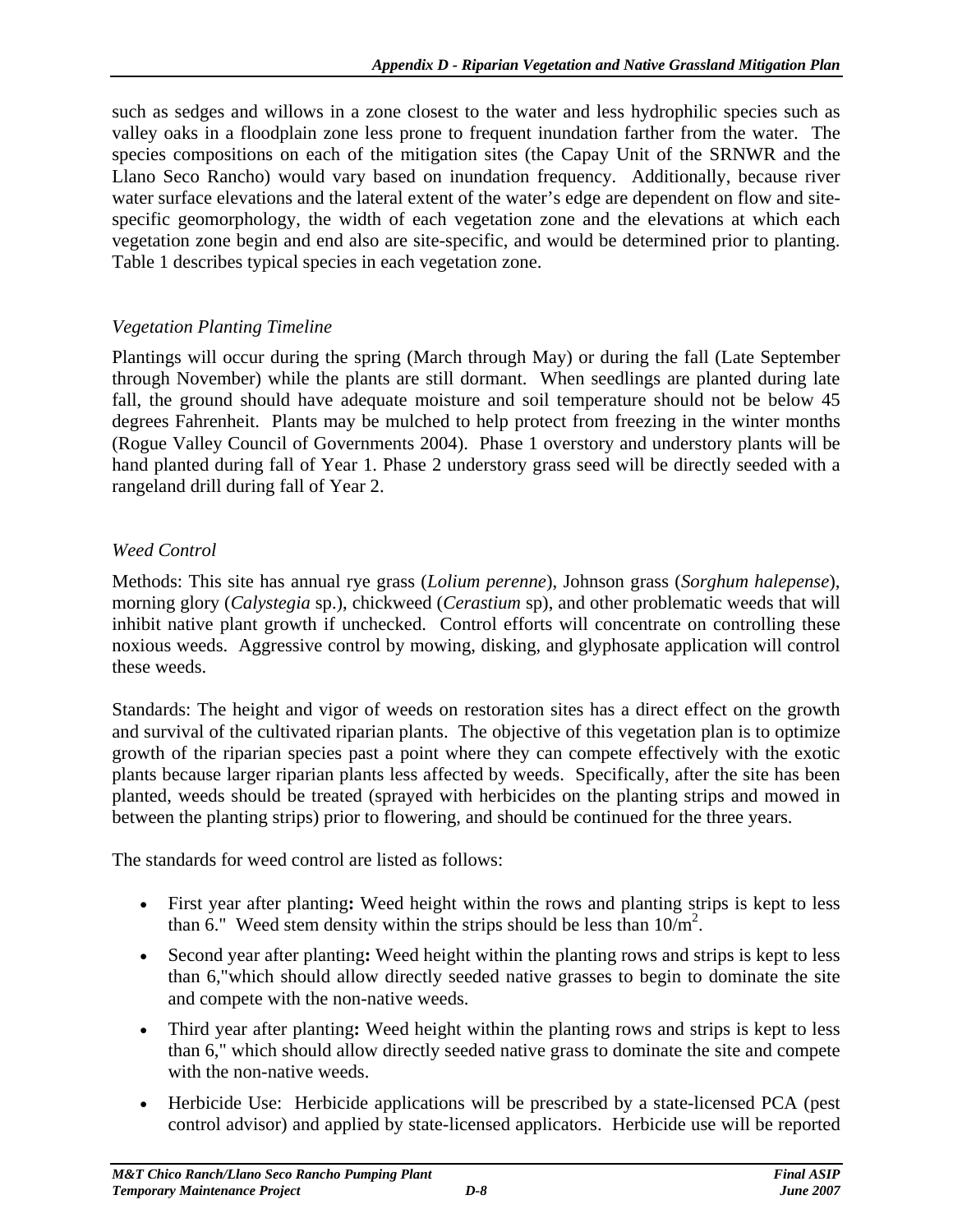such as sedges and willows in a zone closest to the water and less hydrophilic species such as valley oaks in a floodplain zone less prone to frequent inundation farther from the water. The species compositions on each of the mitigation sites (the Capay Unit of the SRNWR and the Llano Seco Rancho) would vary based on inundation frequency. Additionally, because river water surface elevations and the lateral extent of the water's edge are dependent on flow and sitespecific geomorphology, the width of each vegetation zone and the elevations at which each vegetation zone begin and end also are site-specific, and would be determined prior to planting. Table 1 describes typical species in each vegetation zone.

#### *Vegetation Planting Timeline*

Plantings will occur during the spring (March through May) or during the fall (Late September through November) while the plants are still dormant. When seedlings are planted during late fall, the ground should have adequate moisture and soil temperature should not be below 45 degrees Fahrenheit. Plants may be mulched to help protect from freezing in the winter months (Rogue Valley Council of Governments 2004). Phase 1 overstory and understory plants will be hand planted during fall of Year 1. Phase 2 understory grass seed will be directly seeded with a rangeland drill during fall of Year 2.

#### *Weed Control*

Methods: This site has annual rye grass (*Lolium perenne*), Johnson grass (*Sorghum halepense*), morning glory (*Calystegia* sp.), chickweed (*Cerastium* sp), and other problematic weeds that will inhibit native plant growth if unchecked. Control efforts will concentrate on controlling these noxious weeds. Aggressive control by mowing, disking, and glyphosate application will control these weeds.

Standards: The height and vigor of weeds on restoration sites has a direct effect on the growth and survival of the cultivated riparian plants. The objective of this vegetation plan is to optimize growth of the riparian species past a point where they can compete effectively with the exotic plants because larger riparian plants less affected by weeds. Specifically, after the site has been planted, weeds should be treated (sprayed with herbicides on the planting strips and mowed in between the planting strips) prior to flowering, and should be continued for the three years.

The standards for weed control are listed as follows:

- First year after planting**:** Weed height within the rows and planting strips is kept to less than 6." Weed stem density within the strips should be less than  $10/m^2$ .
- Second year after planting**:** Weed height within the planting rows and strips is kept to less than 6,"which should allow directly seeded native grasses to begin to dominate the site and compete with the non-native weeds.
- Third year after planting**:** Weed height within the planting rows and strips is kept to less than 6," which should allow directly seeded native grass to dominate the site and compete with the non-native weeds.
- Herbicide Use: Herbicide applications will be prescribed by a state-licensed PCA (pest control advisor) and applied by state-licensed applicators. Herbicide use will be reported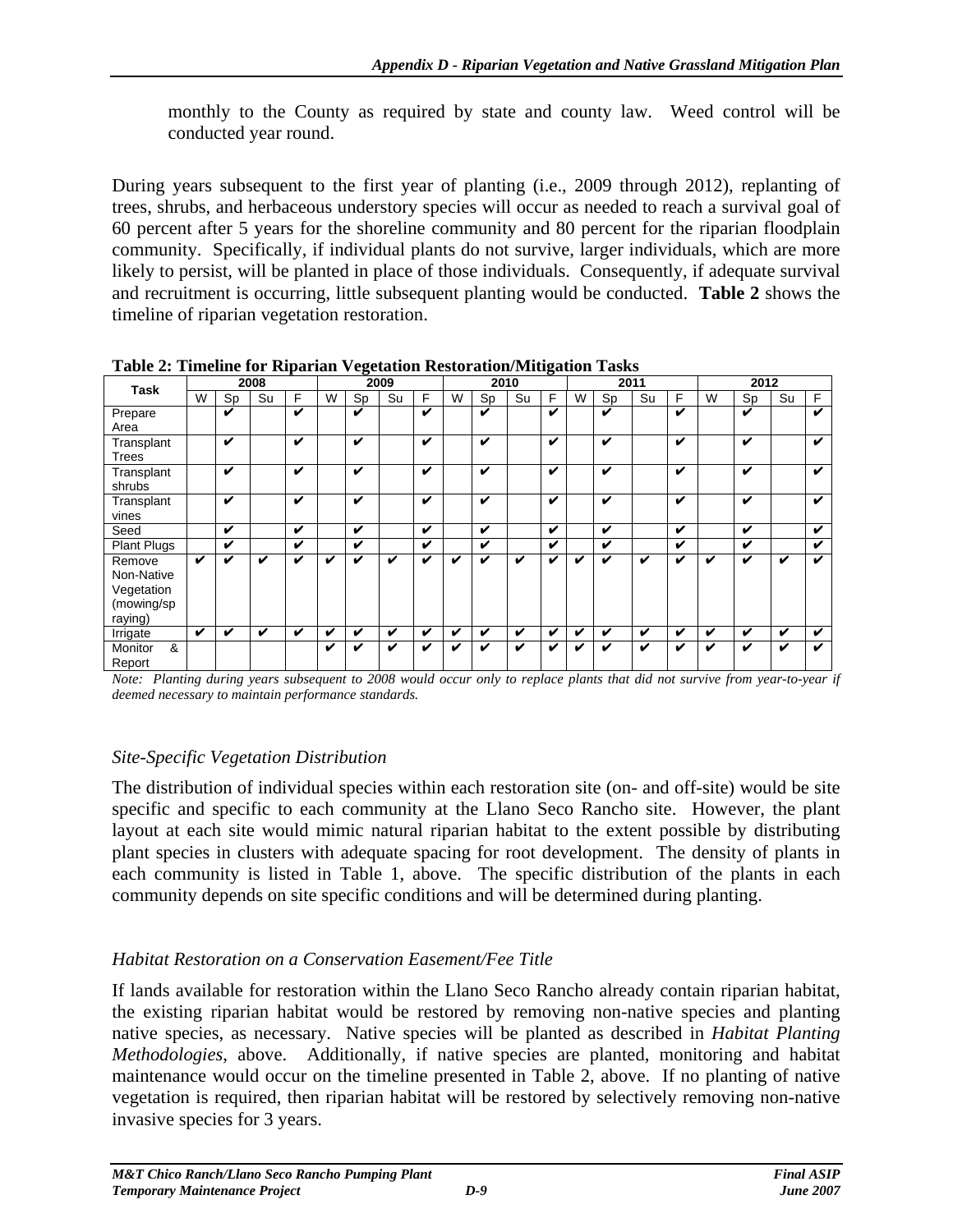monthly to the County as required by state and county law. Weed control will be conducted year round.

During years subsequent to the first year of planting (i.e., 2009 through 2012), replanting of trees, shrubs, and herbaceous understory species will occur as needed to reach a survival goal of 60 percent after 5 years for the shoreline community and 80 percent for the riparian floodplain community. Specifically, if individual plants do not survive, larger individuals, which are more likely to persist, will be planted in place of those individuals. Consequently, if adequate survival and recruitment is occurring, little subsequent planting would be conducted. **Table 2** shows the timeline of riparian vegetation restoration.

| <u>raoic al Thuchne for Ripartan</u> y egetation Restoration mugation Tashs |   |    |      |                            |      |    |    |      |   |    |      |   |   |    |      |   |   |    |    |   |
|-----------------------------------------------------------------------------|---|----|------|----------------------------|------|----|----|------|---|----|------|---|---|----|------|---|---|----|----|---|
| <b>Task</b>                                                                 |   |    | 2008 |                            | 2009 |    |    | 2010 |   |    | 2011 |   |   |    | 2012 |   |   |    |    |   |
|                                                                             | W | Sp | Su   | F                          | W    | Sp | Su | F    | W | Sp | Su   | F | W | Sp | Su   | F | W | Sp | Su | F |
| Prepare                                                                     |   | v  |      | v                          |      | v  |    | v    |   | v  |      | v |   | V  |      | v |   | V  |    | v |
| Area                                                                        |   |    |      |                            |      |    |    |      |   |    |      |   |   |    |      |   |   |    |    |   |
| Transplant                                                                  |   | V  |      | v                          |      | V  |    | v    |   | V  |      | V |   | v  |      | V |   | V  |    | v |
| Trees                                                                       |   |    |      |                            |      |    |    |      |   |    |      |   |   |    |      |   |   |    |    |   |
| Transplant                                                                  |   | V  |      | v                          |      | v  |    | v    |   | V  |      | v |   | V  |      | v |   | v  |    | v |
| shrubs                                                                      |   |    |      |                            |      |    |    |      |   |    |      |   |   |    |      |   |   |    |    |   |
| Transplant                                                                  |   | V  |      | V                          |      | v  |    | v    |   | V  |      | V |   | V  |      | V |   | v  |    | v |
| vines                                                                       |   |    |      |                            |      |    |    |      |   |    |      |   |   |    |      |   |   |    |    |   |
| Seed                                                                        |   | V  |      | $\boldsymbol{\mathcal{U}}$ |      | V  |    | V    |   | V  |      | V |   | V  |      | V |   | V  |    | v |
| <b>Plant Plugs</b>                                                          |   | V  |      | v                          |      | V  |    | V    |   | V  |      | v |   | V  |      | V |   | V  |    | v |
| Remove                                                                      | v | V  | v    | V                          | v    | v  | v  | v    | ✔ | v  | V    | v | ✔ | V  | ✔    | J | v | V  | V  | V |
| Non-Native                                                                  |   |    |      |                            |      |    |    |      |   |    |      |   |   |    |      |   |   |    |    |   |
| Vegetation                                                                  |   |    |      |                            |      |    |    |      |   |    |      |   |   |    |      |   |   |    |    |   |
| (mowing/sp                                                                  |   |    |      |                            |      |    |    |      |   |    |      |   |   |    |      |   |   |    |    |   |
| raying)                                                                     |   |    |      |                            |      |    |    |      |   |    |      |   |   |    |      |   |   |    |    |   |
| Irrigate                                                                    | v | V  | V    | V                          | V    | v  | V  | V    | V | V  | V    | V | V | V  | V    | V | V | v  | V  | v |
| Monitor<br>&                                                                |   |    |      |                            | V    | v  | V  | ✔    | v | v  | V    | v | ✔ | v  | v    | J | v | v  | V  | v |
| Report                                                                      |   |    |      |                            |      |    |    |      |   |    |      |   |   |    |      |   |   |    |    |   |

**Table 2: Timeline for Riparian Vegetation Restoration/Mitigation Tasks** 

*Note: Planting during years subsequent to 2008 would occur only to replace plants that did not survive from year-to-year if deemed necessary to maintain performance standards.* 

#### *Site-Specific Vegetation Distribution*

The distribution of individual species within each restoration site (on- and off-site) would be site specific and specific to each community at the Llano Seco Rancho site. However, the plant layout at each site would mimic natural riparian habitat to the extent possible by distributing plant species in clusters with adequate spacing for root development. The density of plants in each community is listed in Table 1, above. The specific distribution of the plants in each community depends on site specific conditions and will be determined during planting.

#### *Habitat Restoration on a Conservation Easement/Fee Title*

If lands available for restoration within the Llano Seco Rancho already contain riparian habitat, the existing riparian habitat would be restored by removing non-native species and planting native species, as necessary. Native species will be planted as described in *Habitat Planting Methodologies*, above. Additionally, if native species are planted, monitoring and habitat maintenance would occur on the timeline presented in Table 2, above. If no planting of native vegetation is required, then riparian habitat will be restored by selectively removing non-native invasive species for 3 years.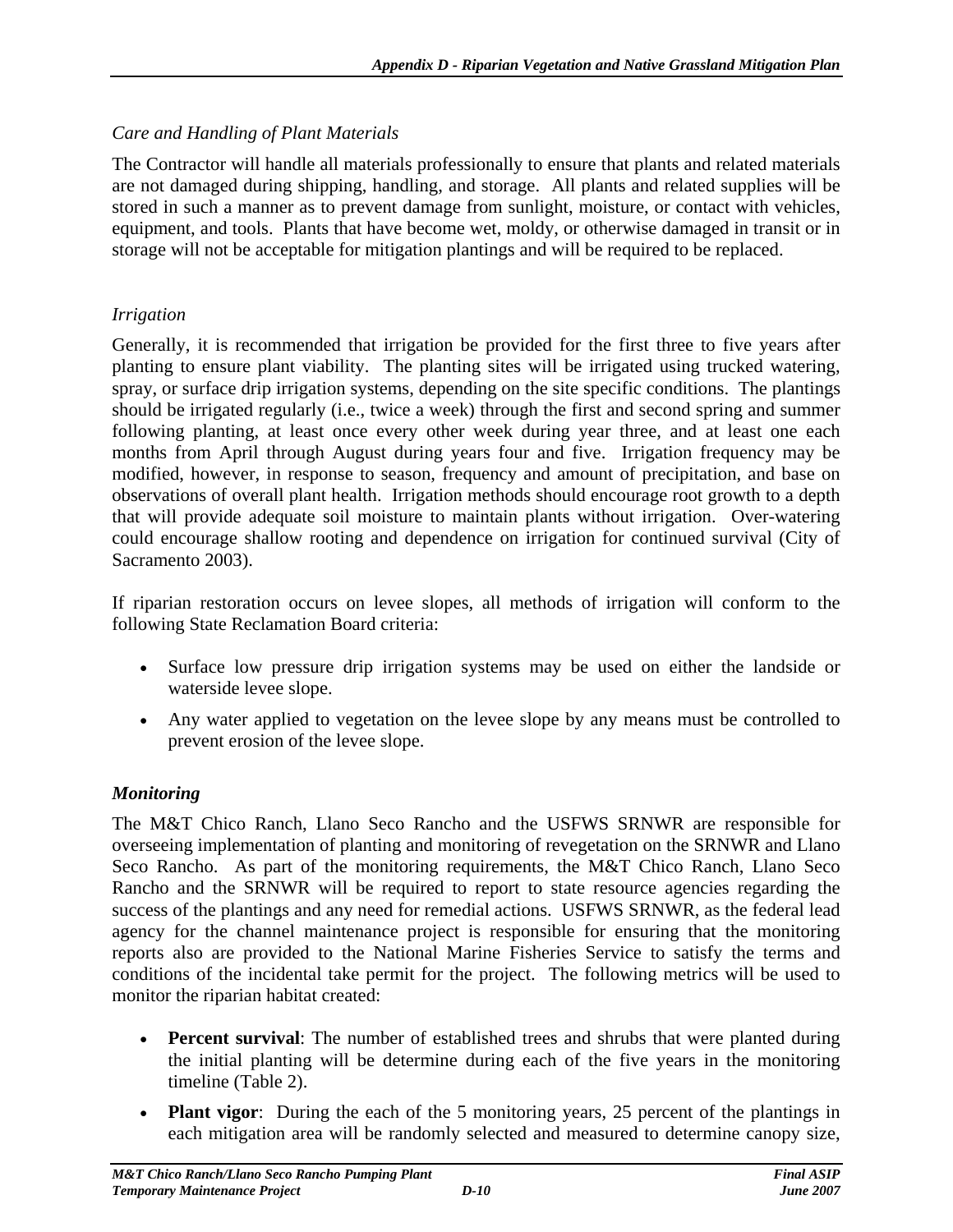#### *Care and Handling of Plant Materials*

The Contractor will handle all materials professionally to ensure that plants and related materials are not damaged during shipping, handling, and storage. All plants and related supplies will be stored in such a manner as to prevent damage from sunlight, moisture, or contact with vehicles, equipment, and tools. Plants that have become wet, moldy, or otherwise damaged in transit or in storage will not be acceptable for mitigation plantings and will be required to be replaced.

#### *Irrigation*

Generally, it is recommended that irrigation be provided for the first three to five years after planting to ensure plant viability. The planting sites will be irrigated using trucked watering, spray, or surface drip irrigation systems, depending on the site specific conditions. The plantings should be irrigated regularly (i.e., twice a week) through the first and second spring and summer following planting, at least once every other week during year three, and at least one each months from April through August during years four and five. Irrigation frequency may be modified, however, in response to season, frequency and amount of precipitation, and base on observations of overall plant health. Irrigation methods should encourage root growth to a depth that will provide adequate soil moisture to maintain plants without irrigation. Over-watering could encourage shallow rooting and dependence on irrigation for continued survival (City of Sacramento 2003).

If riparian restoration occurs on levee slopes, all methods of irrigation will conform to the following State Reclamation Board criteria:

- Surface low pressure drip irrigation systems may be used on either the landside or waterside levee slope.
- Any water applied to vegetation on the levee slope by any means must be controlled to prevent erosion of the levee slope.

#### *Monitoring*

The M&T Chico Ranch, Llano Seco Rancho and the USFWS SRNWR are responsible for overseeing implementation of planting and monitoring of revegetation on the SRNWR and Llano Seco Rancho. As part of the monitoring requirements, the M&T Chico Ranch, Llano Seco Rancho and the SRNWR will be required to report to state resource agencies regarding the success of the plantings and any need for remedial actions. USFWS SRNWR, as the federal lead agency for the channel maintenance project is responsible for ensuring that the monitoring reports also are provided to the National Marine Fisheries Service to satisfy the terms and conditions of the incidental take permit for the project. The following metrics will be used to monitor the riparian habitat created:

- **Percent survival**: The number of established trees and shrubs that were planted during the initial planting will be determine during each of the five years in the monitoring timeline (Table 2).
- **Plant vigor**: During the each of the 5 monitoring years, 25 percent of the plantings in each mitigation area will be randomly selected and measured to determine canopy size,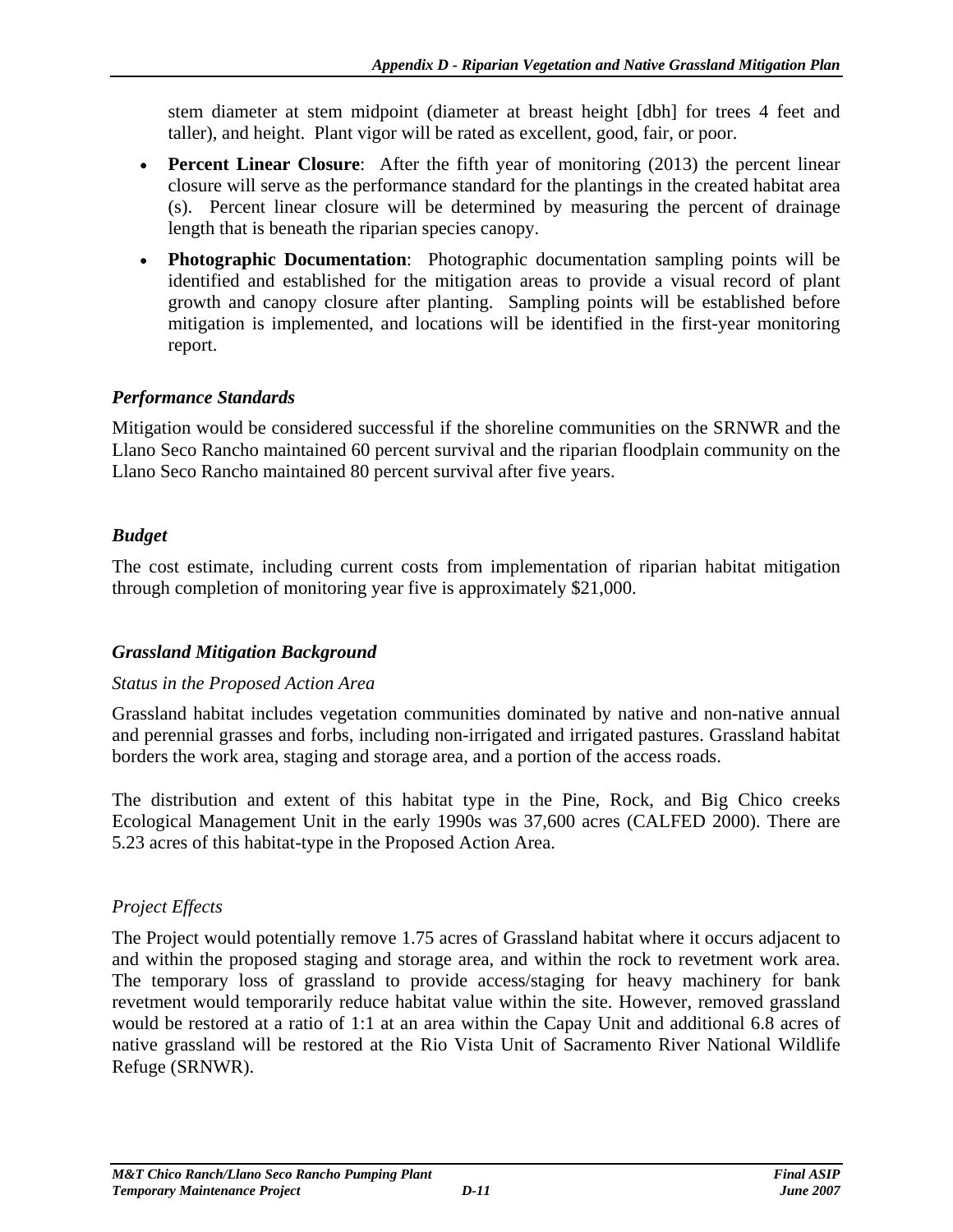stem diameter at stem midpoint (diameter at breast height [dbh] for trees 4 feet and taller), and height. Plant vigor will be rated as excellent, good, fair, or poor.

- **Percent Linear Closure**: After the fifth year of monitoring (2013) the percent linear closure will serve as the performance standard for the plantings in the created habitat area (s). Percent linear closure will be determined by measuring the percent of drainage length that is beneath the riparian species canopy.
- **Photographic Documentation**: Photographic documentation sampling points will be identified and established for the mitigation areas to provide a visual record of plant growth and canopy closure after planting. Sampling points will be established before mitigation is implemented, and locations will be identified in the first-year monitoring report.

#### *Performance Standards*

Mitigation would be considered successful if the shoreline communities on the SRNWR and the Llano Seco Rancho maintained 60 percent survival and the riparian floodplain community on the Llano Seco Rancho maintained 80 percent survival after five years.

#### *Budget*

The cost estimate, including current costs from implementation of riparian habitat mitigation through completion of monitoring year five is approximately \$21,000.

#### *Grassland Mitigation Background*

#### *Status in the Proposed Action Area*

Grassland habitat includes vegetation communities dominated by native and non-native annual and perennial grasses and forbs, including non-irrigated and irrigated pastures. Grassland habitat borders the work area, staging and storage area, and a portion of the access roads.

The distribution and extent of this habitat type in the Pine, Rock, and Big Chico creeks Ecological Management Unit in the early 1990s was 37,600 acres (CALFED 2000). There are 5.23 acres of this habitat-type in the Proposed Action Area.

#### *Project Effects*

The Project would potentially remove 1.75 acres of Grassland habitat where it occurs adjacent to and within the proposed staging and storage area, and within the rock to revetment work area. The temporary loss of grassland to provide access/staging for heavy machinery for bank revetment would temporarily reduce habitat value within the site. However, removed grassland would be restored at a ratio of 1:1 at an area within the Capay Unit and additional 6.8 acres of native grassland will be restored at the Rio Vista Unit of Sacramento River National Wildlife Refuge (SRNWR).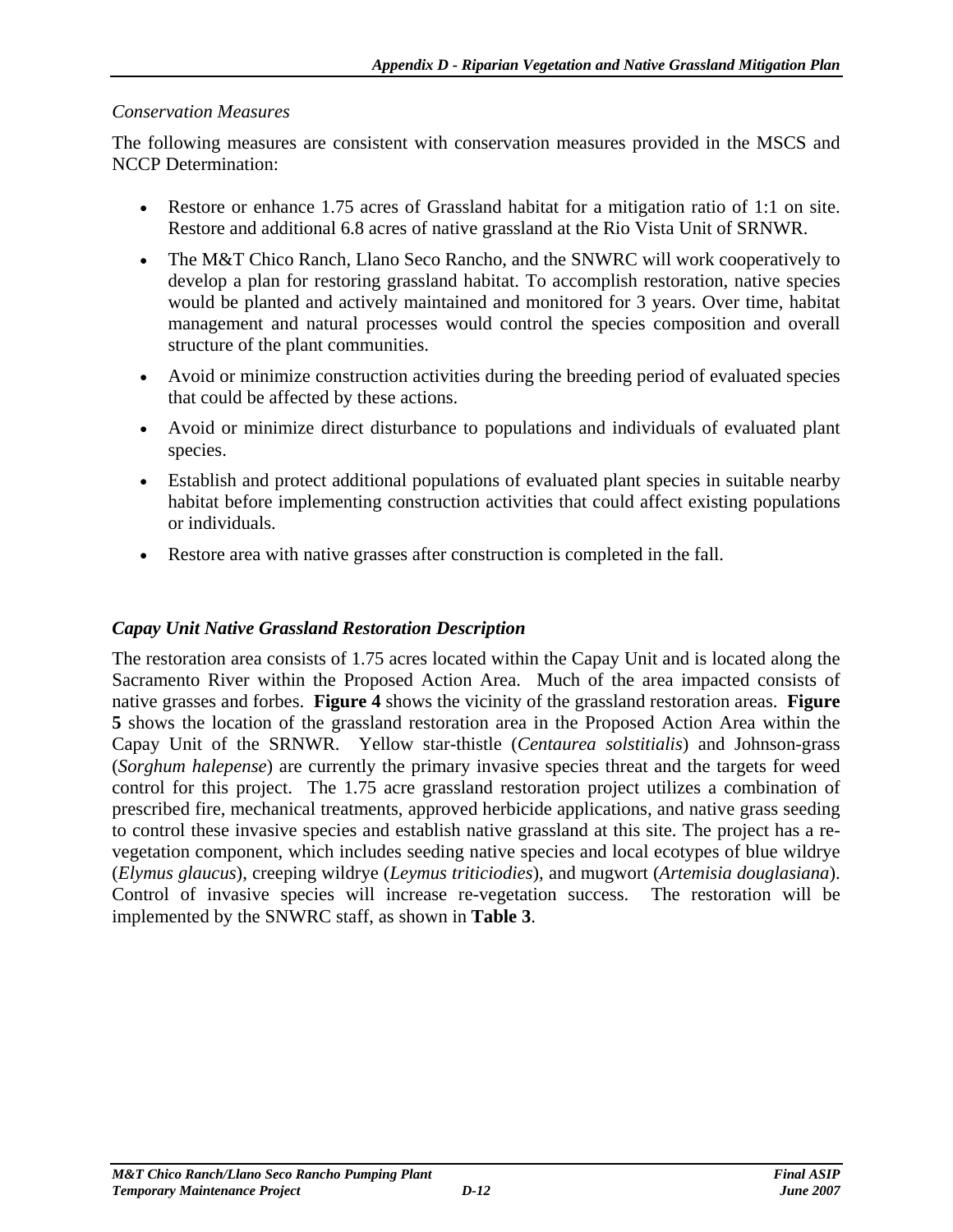#### *Conservation Measures*

The following measures are consistent with conservation measures provided in the MSCS and NCCP Determination:

- Restore or enhance 1.75 acres of Grassland habitat for a mitigation ratio of 1:1 on site. Restore and additional 6.8 acres of native grassland at the Rio Vista Unit of SRNWR.
- The M&T Chico Ranch, Llano Seco Rancho, and the SNWRC will work cooperatively to develop a plan for restoring grassland habitat. To accomplish restoration, native species would be planted and actively maintained and monitored for 3 years. Over time, habitat management and natural processes would control the species composition and overall structure of the plant communities.
- Avoid or minimize construction activities during the breeding period of evaluated species that could be affected by these actions.
- Avoid or minimize direct disturbance to populations and individuals of evaluated plant species.
- Establish and protect additional populations of evaluated plant species in suitable nearby habitat before implementing construction activities that could affect existing populations or individuals.
- Restore area with native grasses after construction is completed in the fall.

#### *Capay Unit Native Grassland Restoration Description*

The restoration area consists of 1.75 acres located within the Capay Unit and is located along the Sacramento River within the Proposed Action Area. Much of the area impacted consists of native grasses and forbes. **Figure 4** shows the vicinity of the grassland restoration areas. **Figure 5** shows the location of the grassland restoration area in the Proposed Action Area within the Capay Unit of the SRNWR. Yellow star-thistle (*Centaurea solstitialis*) and Johnson-grass (*Sorghum halepense*) are currently the primary invasive species threat and the targets for weed control for this project. The 1.75 acre grassland restoration project utilizes a combination of prescribed fire, mechanical treatments, approved herbicide applications, and native grass seeding to control these invasive species and establish native grassland at this site. The project has a revegetation component, which includes seeding native species and local ecotypes of blue wildrye (*Elymus glaucus*), creeping wildrye (*Leymus triticiodies*), and mugwort (*Artemisia douglasiana*). Control of invasive species will increase re-vegetation success. The restoration will be implemented by the SNWRC staff, as shown in **Table 3**.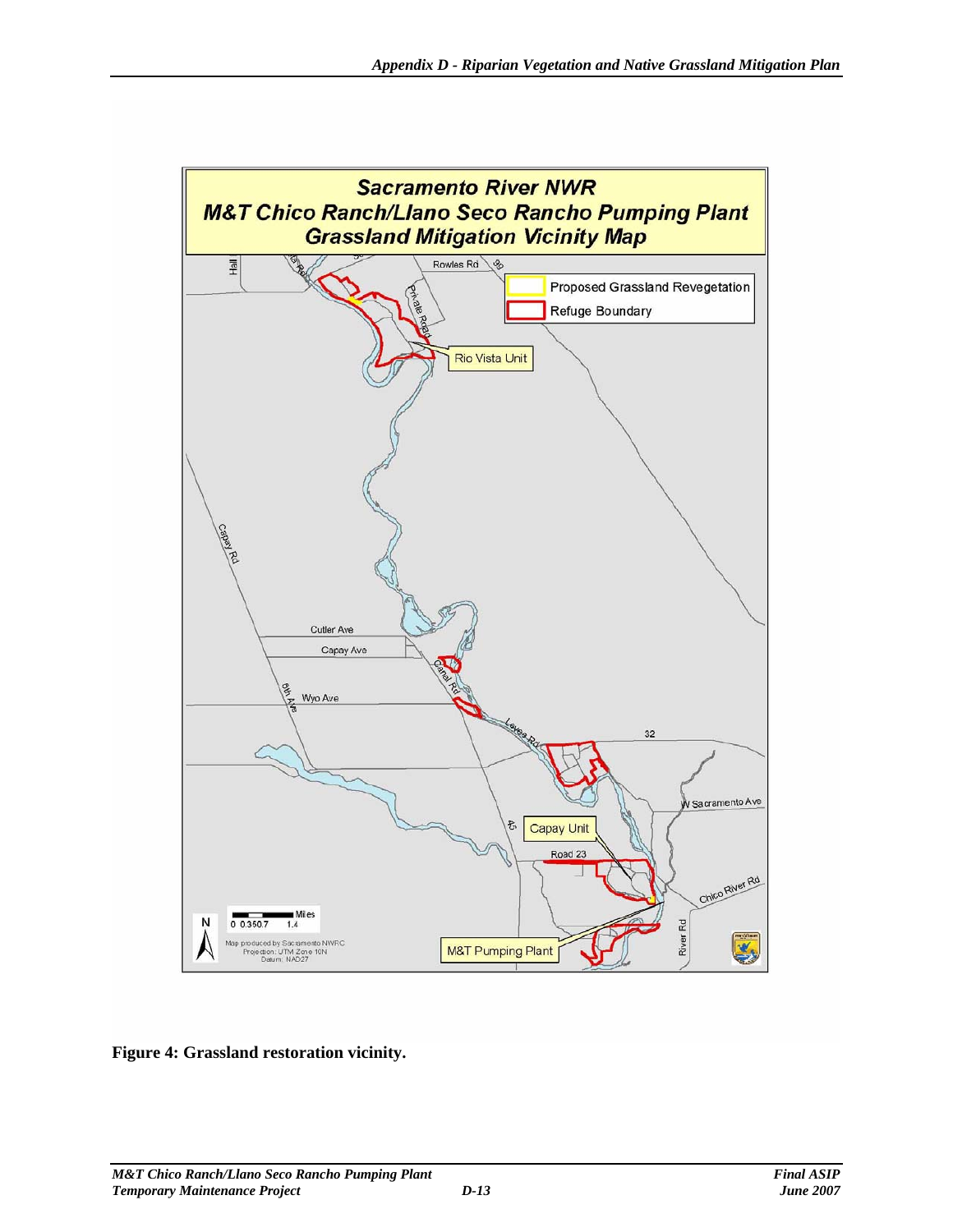

**Figure 4: Grassland restoration vicinity.**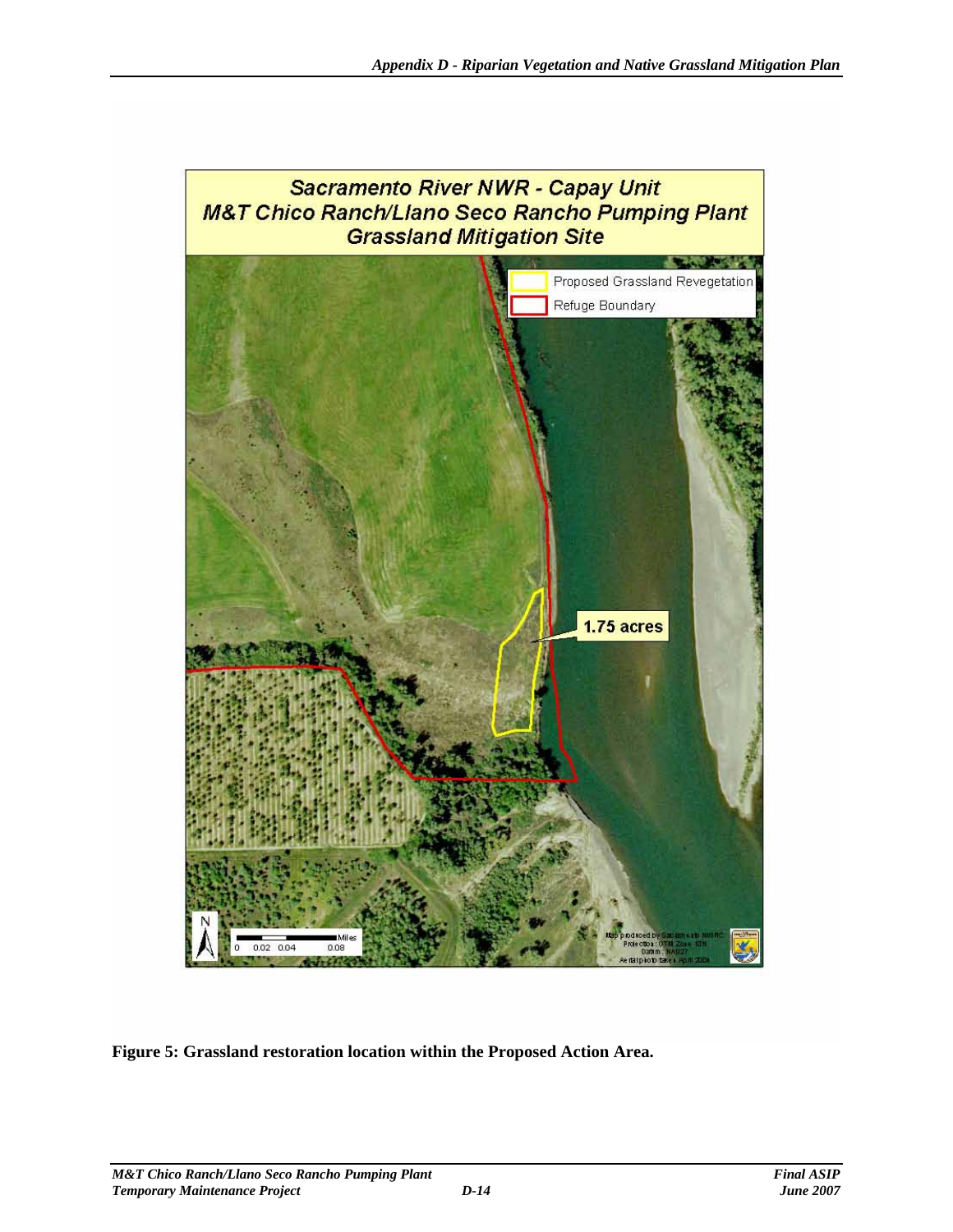

**Figure 5: Grassland restoration location within the Proposed Action Area.**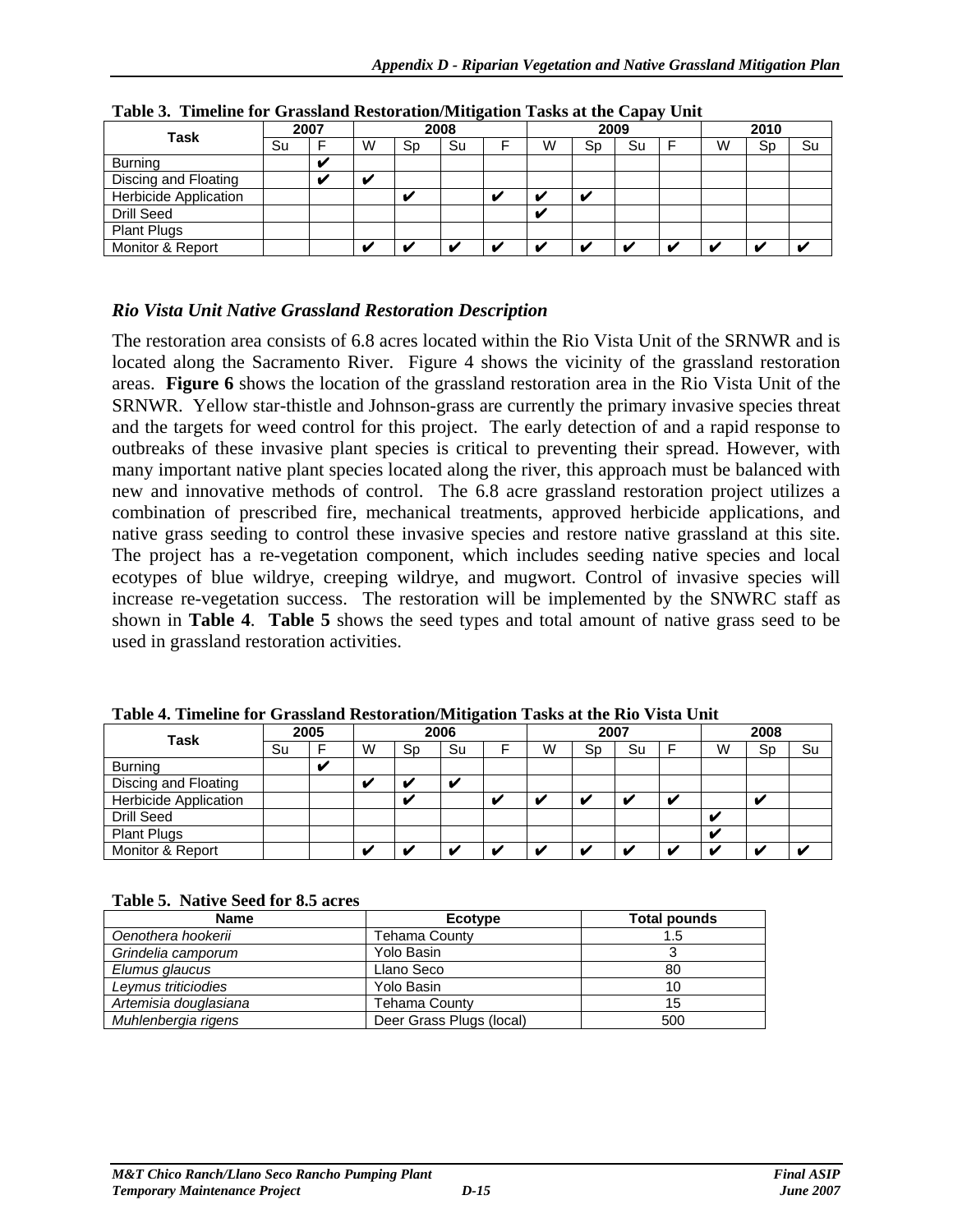| $\sim$ which is a minimum for order the street or well interested to which we then only $\eta$<br>$- - - -$ |    |      |   |      |    |  |                         |    |    |  |      |    |    |
|-------------------------------------------------------------------------------------------------------------|----|------|---|------|----|--|-------------------------|----|----|--|------|----|----|
| Task                                                                                                        |    | 2007 |   | 2008 |    |  | 2009                    |    |    |  | 2010 |    |    |
|                                                                                                             | Su |      | W | Sp   | Su |  | W                       | Sp | Su |  | W    | Sp | Su |
| <b>Burning</b>                                                                                              |    | v    |   |      |    |  |                         |    |    |  |      |    |    |
| Discing and Floating                                                                                        |    | v    |   |      |    |  |                         |    |    |  |      |    |    |
| <b>Herbicide Application</b>                                                                                |    |      |   |      |    |  |                         |    |    |  |      |    |    |
| Drill Seed                                                                                                  |    |      |   |      |    |  | $\overline{\mathbf{u}}$ |    |    |  |      |    |    |
| <b>Plant Plugs</b>                                                                                          |    |      |   |      |    |  |                         |    |    |  |      |    |    |
| Monitor & Report                                                                                            |    |      |   |      |    |  |                         |    |    |  | M    |    |    |

**Table 3. Timeline for Grassland Restoration/Mitigation Tasks at the Capay Unit** 

#### *Rio Vista Unit Native Grassland Restoration Description*

The restoration area consists of 6.8 acres located within the Rio Vista Unit of the SRNWR and is located along the Sacramento River. Figure 4 shows the vicinity of the grassland restoration areas. **Figure 6** shows the location of the grassland restoration area in the Rio Vista Unit of the SRNWR. Yellow star-thistle and Johnson-grass are currently the primary invasive species threat and the targets for weed control for this project. The early detection of and a rapid response to outbreaks of these invasive plant species is critical to preventing their spread. However, with many important native plant species located along the river, this approach must be balanced with new and innovative methods of control. The 6.8 acre grassland restoration project utilizes a combination of prescribed fire, mechanical treatments, approved herbicide applications, and native grass seeding to control these invasive species and restore native grassland at this site. The project has a re-vegetation component, which includes seeding native species and local ecotypes of blue wildrye, creeping wildrye, and mugwort. Control of invasive species will increase re-vegetation success. The restoration will be implemented by the SNWRC staff as shown in **Table 4**. **Table 5** shows the seed types and total amount of native grass seed to be used in grassland restoration activities.

| Task                         | 2005 |    | 2006 |    |    | 2007 |                          |    |    | 2008         |                          |    |    |
|------------------------------|------|----|------|----|----|------|--------------------------|----|----|--------------|--------------------------|----|----|
|                              | Su   |    | w    | Sp | Su |      | W                        | Sp | Su |              | W                        | Sp | Su |
| <b>Burning</b>               |      | 44 |      |    |    |      |                          |    |    |              |                          |    |    |
| Discing and Floating         |      |    |      |    |    |      |                          |    |    |              |                          |    |    |
| <b>Herbicide Application</b> |      |    |      |    |    |      | $\overline{\mathbf{u}}$  |    |    | $\mathbf{v}$ |                          |    |    |
| Drill Seed                   |      |    |      |    |    |      |                          |    |    |              | v                        |    |    |
| <b>Plant Plugs</b>           |      |    |      |    |    |      |                          |    |    |              | M                        |    |    |
| Monitor & Report             |      |    |      |    |    |      | $\overline{\phantom{a}}$ |    |    | м.           | $\overline{\phantom{a}}$ |    |    |

**Table 4. Timeline for Grassland Restoration/Mitigation Tasks at the Rio Vista Unit** 

**Table 5. Native Seed for 8.5 acres** 

| <b>Name</b>           | Ecotype                  | Total pounds |
|-----------------------|--------------------------|--------------|
| Oenothera hookerii    | Tehama County            | 1.5          |
| Grindelia camporum    | Yolo Basin               |              |
| Elumus glaucus        | Llano Seco               | 80           |
| Leymus triticiodies   | Yolo Basin               | 10           |
| Artemisia douglasiana | Tehama County            | 15           |
| Muhlenbergia rigens   | Deer Grass Plugs (local) | 500          |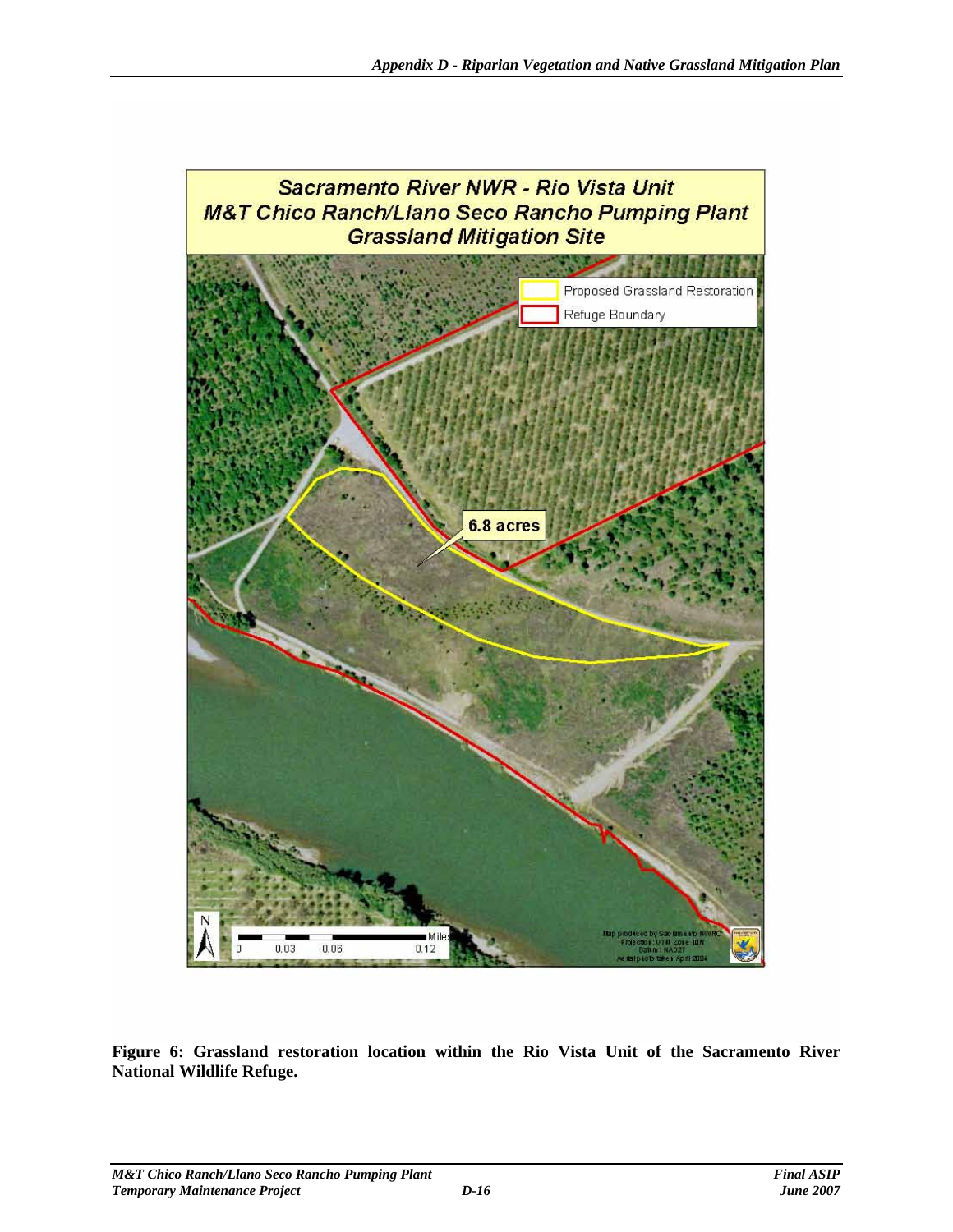

**Figure 6: Grassland restoration location within the Rio Vista Unit of the Sacramento River National Wildlife Refuge.**